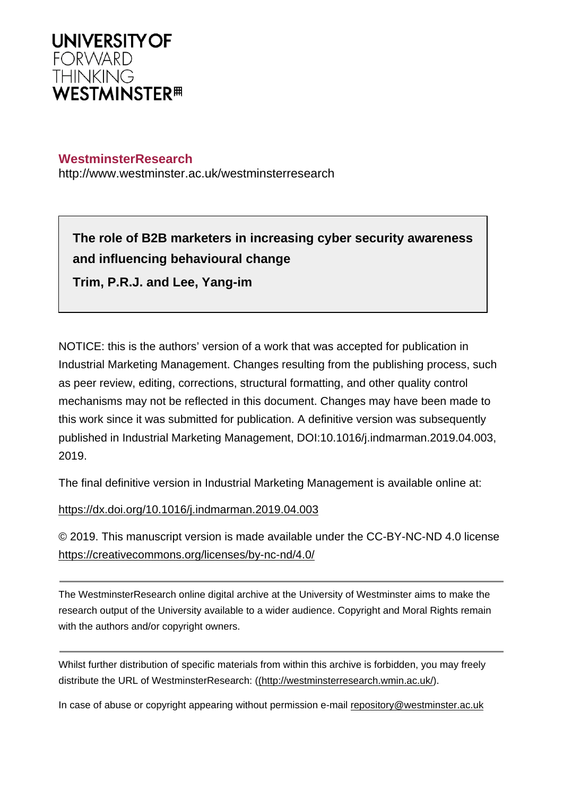

## **WestminsterResearch**

http://www.westminster.ac.uk/westminsterresearch

**The role of B2B marketers in increasing cyber security awareness and influencing behavioural change Trim, P.R.J. and Lee, Yang-im**

NOTICE: this is the authors' version of a work that was accepted for publication in Industrial Marketing Management. Changes resulting from the publishing process, such as peer review, editing, corrections, structural formatting, and other quality control mechanisms may not be reflected in this document. Changes may have been made to this work since it was submitted for publication. A definitive version was subsequently published in Industrial Marketing Management, DOI:10.1016/j.indmarman.2019.04.003, 2019.

The final definitive version in Industrial Marketing Management is available online at:

<https://dx.doi.org/10.1016/j.indmarman.2019.04.003>

© 2019. This manuscript version is made available under the CC-BY-NC-ND 4.0 license <https://creativecommons.org/licenses/by-nc-nd/4.0/>

The WestminsterResearch online digital archive at the University of Westminster aims to make the research output of the University available to a wider audience. Copyright and Moral Rights remain with the authors and/or copyright owners.

Whilst further distribution of specific materials from within this archive is forbidden, you may freely distribute the URL of WestminsterResearch: [\(\(http://westminsterresearch.wmin.ac.uk/](http://westminsterresearch.wmin.ac.uk/)).

In case of abuse or copyright appearing without permission e-mail <repository@westminster.ac.uk>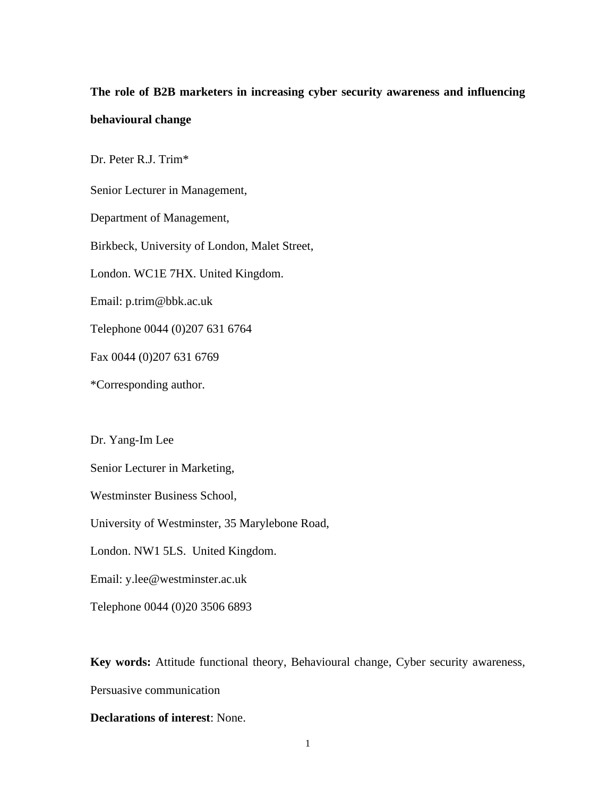# **The role of B2B marketers in increasing cyber security awareness and influencing behavioural change**

Dr. Peter R.J. Trim\*

Senior Lecturer in Management,

Department of Management,

Birkbeck, University of London, Malet Street,

London. WC1E 7HX. United Kingdom.

Email: p.trim@bbk.ac.uk

Telephone 0044 (0)207 631 6764

Fax 0044 (0)207 631 6769

\*Corresponding author.

Dr. Yang-Im Lee

Senior Lecturer in Marketing,

Westminster Business School,

University of Westminster, 35 Marylebone Road,

London. NW1 5LS. United Kingdom.

Email: y.lee@westminster.ac.uk

Telephone 0044 (0)20 3506 6893

**Key words:** Attitude functional theory, Behavioural change, Cyber security awareness, Persuasive communication

**Declarations of interest**: None.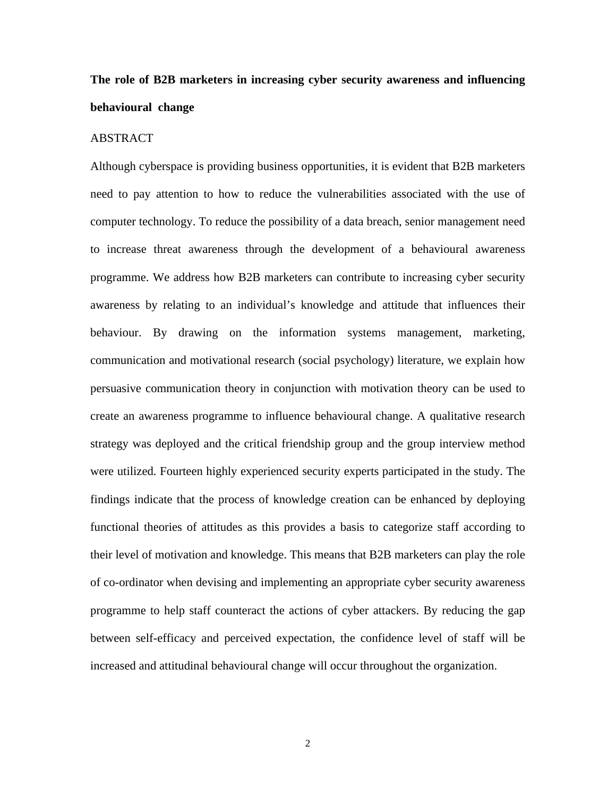# **The role of B2B marketers in increasing cyber security awareness and influencing behavioural change**

#### ABSTRACT

Although cyberspace is providing business opportunities, it is evident that B2B marketers need to pay attention to how to reduce the vulnerabilities associated with the use of computer technology. To reduce the possibility of a data breach, senior management need to increase threat awareness through the development of a behavioural awareness programme. We address how B2B marketers can contribute to increasing cyber security awareness by relating to an individual's knowledge and attitude that influences their behaviour. By drawing on the information systems management, marketing, communication and motivational research (social psychology) literature, we explain how persuasive communication theory in conjunction with motivation theory can be used to create an awareness programme to influence behavioural change. A qualitative research strategy was deployed and the critical friendship group and the group interview method were utilized. Fourteen highly experienced security experts participated in the study. The findings indicate that the process of knowledge creation can be enhanced by deploying functional theories of attitudes as this provides a basis to categorize staff according to their level of motivation and knowledge. This means that B2B marketers can play the role of co-ordinator when devising and implementing an appropriate cyber security awareness programme to help staff counteract the actions of cyber attackers. By reducing the gap between self-efficacy and perceived expectation, the confidence level of staff will be increased and attitudinal behavioural change will occur throughout the organization.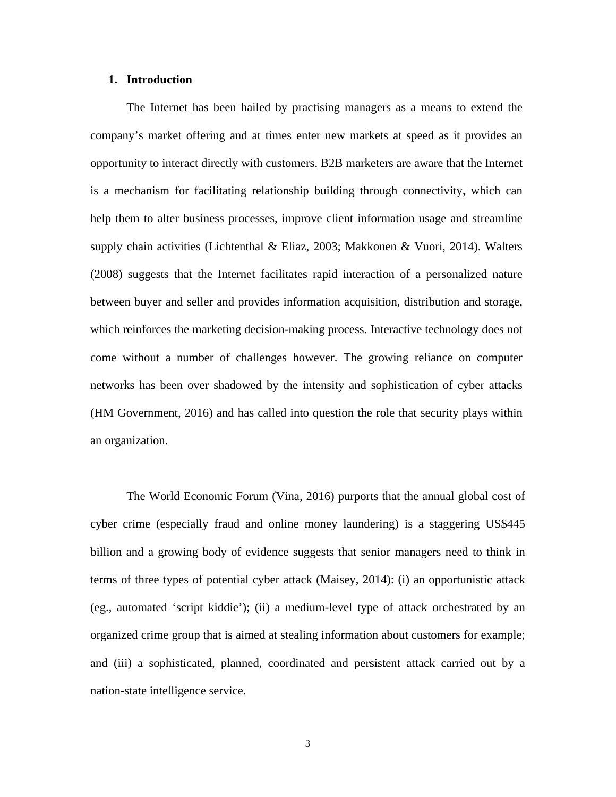#### **1. Introduction**

The Internet has been hailed by practising managers as a means to extend the company's market offering and at times enter new markets at speed as it provides an opportunity to interact directly with customers. B2B marketers are aware that the Internet is a mechanism for facilitating relationship building through connectivity, which can help them to alter business processes, improve client information usage and streamline supply chain activities (Lichtenthal & Eliaz, 2003; Makkonen & Vuori, 2014). Walters (2008) suggests that the Internet facilitates rapid interaction of a personalized nature between buyer and seller and provides information acquisition, distribution and storage, which reinforces the marketing decision-making process. Interactive technology does not come without a number of challenges however. The growing reliance on computer networks has been over shadowed by the intensity and sophistication of cyber attacks (HM Government, 2016) and has called into question the role that security plays within an organization.

The World Economic Forum (Vina, 2016) purports that the annual global cost of cyber crime (especially fraud and online money laundering) is a staggering US\$445 billion and a growing body of evidence suggests that senior managers need to think in terms of three types of potential cyber attack (Maisey, 2014): (i) an opportunistic attack (eg., automated 'script kiddie'); (ii) a medium-level type of attack orchestrated by an organized crime group that is aimed at stealing information about customers for example; and (iii) a sophisticated, planned, coordinated and persistent attack carried out by a nation-state intelligence service.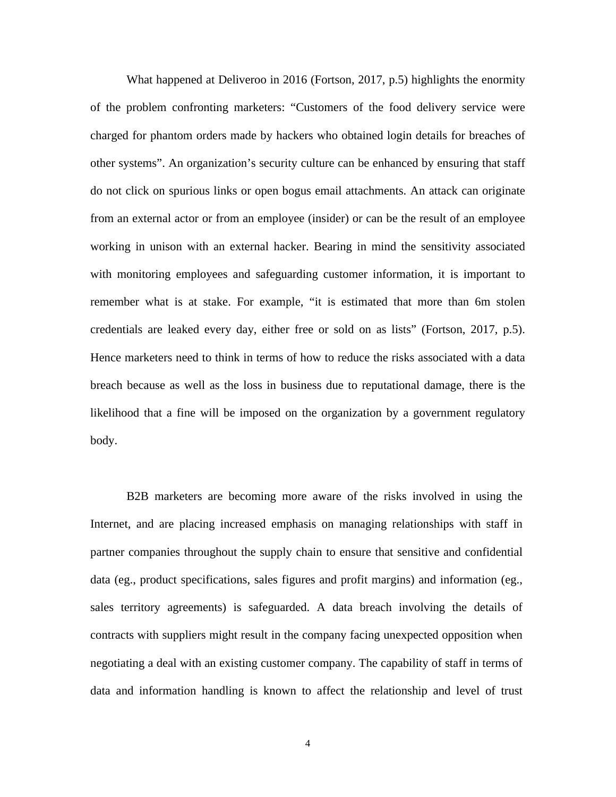What happened at Deliveroo in 2016 (Fortson, 2017, p.5) highlights the enormity of the problem confronting marketers: "Customers of the food delivery service were charged for phantom orders made by hackers who obtained login details for breaches of other systems". An organization's security culture can be enhanced by ensuring that staff do not click on spurious links or open bogus email attachments. An attack can originate from an external actor or from an employee (insider) or can be the result of an employee working in unison with an external hacker. Bearing in mind the sensitivity associated with monitoring employees and safeguarding customer information, it is important to remember what is at stake. For example, "it is estimated that more than 6m stolen credentials are leaked every day, either free or sold on as lists" (Fortson, 2017, p.5). Hence marketers need to think in terms of how to reduce the risks associated with a data breach because as well as the loss in business due to reputational damage, there is the likelihood that a fine will be imposed on the organization by a government regulatory body.

B2B marketers are becoming more aware of the risks involved in using the Internet, and are placing increased emphasis on managing relationships with staff in partner companies throughout the supply chain to ensure that sensitive and confidential data (eg., product specifications, sales figures and profit margins) and information (eg., sales territory agreements) is safeguarded. A data breach involving the details of contracts with suppliers might result in the company facing unexpected opposition when negotiating a deal with an existing customer company. The capability of staff in terms of data and information handling is known to affect the relationship and level of trust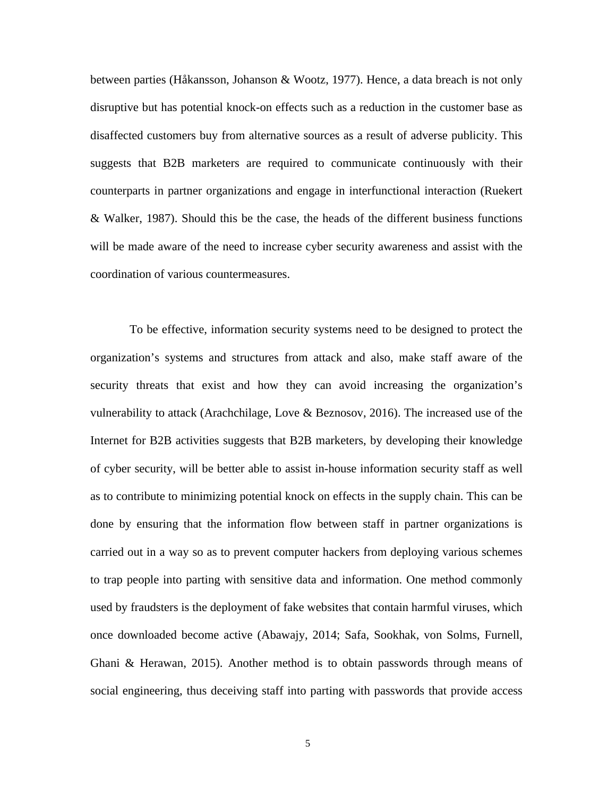between parties (Håkansson, Johanson & Wootz, 1977). Hence, a data breach is not only disruptive but has potential knock-on effects such as a reduction in the customer base as disaffected customers buy from alternative sources as a result of adverse publicity. This suggests that B2B marketers are required to communicate continuously with their counterparts in partner organizations and engage in interfunctional interaction (Ruekert & Walker, 1987). Should this be the case, the heads of the different business functions will be made aware of the need to increase cyber security awareness and assist with the coordination of various countermeasures.

 To be effective, information security systems need to be designed to protect the organization's systems and structures from attack and also, make staff aware of the security threats that exist and how they can avoid increasing the organization's vulnerability to attack (Arachchilage, Love & Beznosov, 2016). The increased use of the Internet for B2B activities suggests that B2B marketers, by developing their knowledge of cyber security, will be better able to assist in-house information security staff as well as to contribute to minimizing potential knock on effects in the supply chain. This can be done by ensuring that the information flow between staff in partner organizations is carried out in a way so as to prevent computer hackers from deploying various schemes to trap people into parting with sensitive data and information. One method commonly used by fraudsters is the deployment of fake websites that contain harmful viruses, which once downloaded become active (Abawajy, 2014; Safa, Sookhak, von Solms, Furnell, Ghani & Herawan, 2015). Another method is to obtain passwords through means of social engineering, thus deceiving staff into parting with passwords that provide access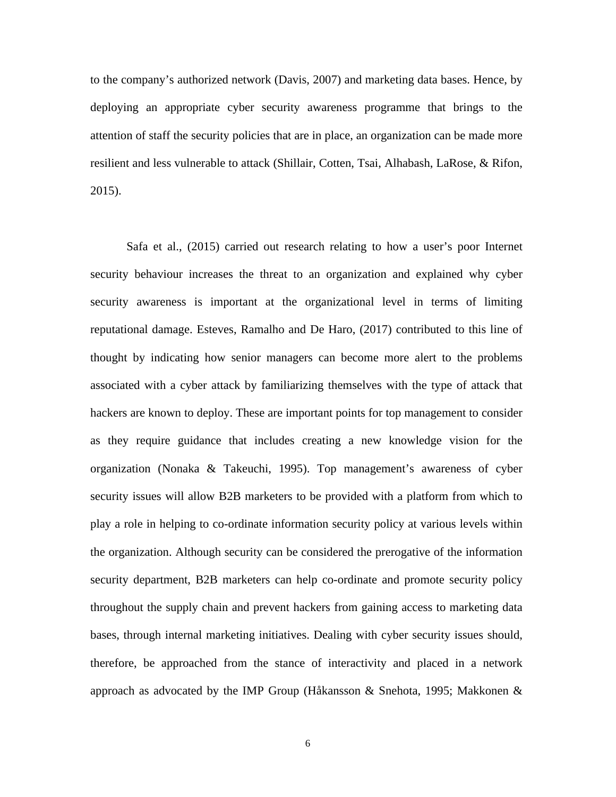to the company's authorized network (Davis, 2007) and marketing data bases. Hence, by deploying an appropriate cyber security awareness programme that brings to the attention of staff the security policies that are in place, an organization can be made more resilient and less vulnerable to attack (Shillair, Cotten, Tsai, Alhabash, LaRose, & Rifon, 2015).

Safa et al., (2015) carried out research relating to how a user's poor Internet security behaviour increases the threat to an organization and explained why cyber security awareness is important at the organizational level in terms of limiting reputational damage. Esteves, Ramalho and De Haro, (2017) contributed to this line of thought by indicating how senior managers can become more alert to the problems associated with a cyber attack by familiarizing themselves with the type of attack that hackers are known to deploy. These are important points for top management to consider as they require guidance that includes creating a new knowledge vision for the organization (Nonaka & Takeuchi, 1995). Top management's awareness of cyber security issues will allow B2B marketers to be provided with a platform from which to play a role in helping to co-ordinate information security policy at various levels within the organization. Although security can be considered the prerogative of the information security department, B2B marketers can help co-ordinate and promote security policy throughout the supply chain and prevent hackers from gaining access to marketing data bases, through internal marketing initiatives. Dealing with cyber security issues should, therefore, be approached from the stance of interactivity and placed in a network approach as advocated by the IMP Group (Håkansson & Snehota, 1995; Makkonen &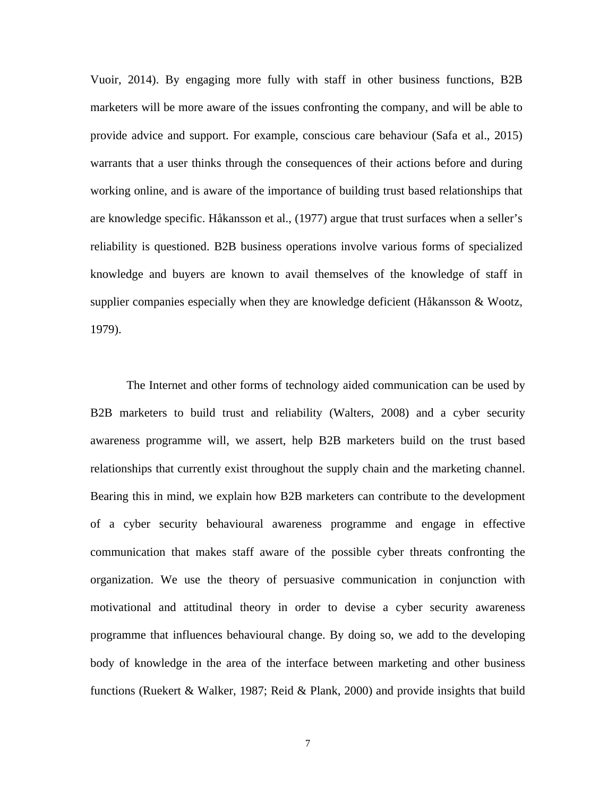Vuoir, 2014). By engaging more fully with staff in other business functions, B2B marketers will be more aware of the issues confronting the company, and will be able to provide advice and support. For example, conscious care behaviour (Safa et al., 2015) warrants that a user thinks through the consequences of their actions before and during working online, and is aware of the importance of building trust based relationships that are knowledge specific. Håkansson et al., (1977) argue that trust surfaces when a seller's reliability is questioned. B2B business operations involve various forms of specialized knowledge and buyers are known to avail themselves of the knowledge of staff in supplier companies especially when they are knowledge deficient (Håkansson & Wootz, 1979).

The Internet and other forms of technology aided communication can be used by B2B marketers to build trust and reliability (Walters, 2008) and a cyber security awareness programme will, we assert, help B2B marketers build on the trust based relationships that currently exist throughout the supply chain and the marketing channel. Bearing this in mind, we explain how B2B marketers can contribute to the development of a cyber security behavioural awareness programme and engage in effective communication that makes staff aware of the possible cyber threats confronting the organization. We use the theory of persuasive communication in conjunction with motivational and attitudinal theory in order to devise a cyber security awareness programme that influences behavioural change. By doing so, we add to the developing body of knowledge in the area of the interface between marketing and other business functions (Ruekert & Walker, 1987; Reid & Plank, 2000) and provide insights that build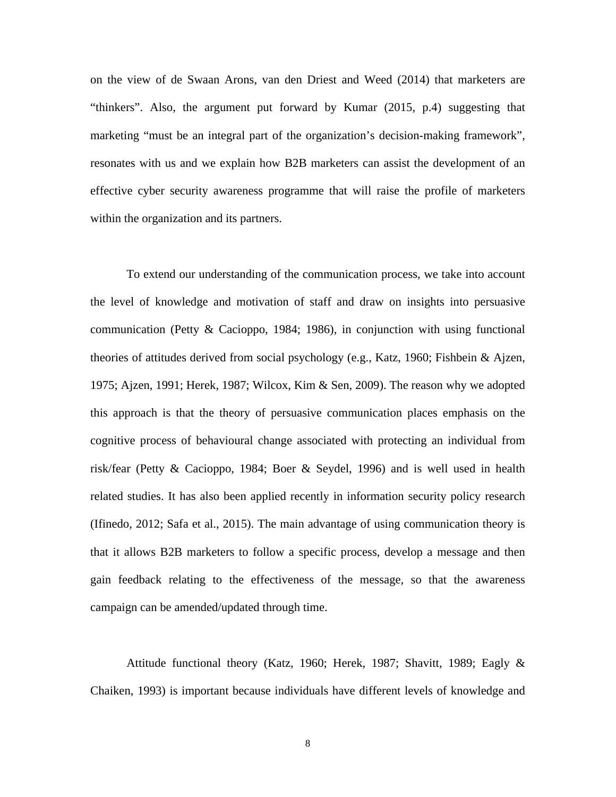on the view of de Swaan Arons, van den Driest and Weed (2014) that marketers are "thinkers". Also, the argument put forward by Kumar (2015, p.4) suggesting that marketing "must be an integral part of the organization's decision-making framework", resonates with us and we explain how B2B marketers can assist the development of an effective cyber security awareness programme that will raise the profile of marketers within the organization and its partners.

To extend our understanding of the communication process, we take into account the level of knowledge and motivation of staff and draw on insights into persuasive communication (Petty & Cacioppo, 1984; 1986), in conjunction with using functional theories of attitudes derived from social psychology (e.g., Katz, 1960; Fishbein & Ajzen, 1975; Ajzen, 1991; Herek, 1987; Wilcox, Kim & Sen, 2009). The reason why we adopted this approach is that the theory of persuasive communication places emphasis on the cognitive process of behavioural change associated with protecting an individual from risk/fear (Petty & Cacioppo, 1984; Boer & Seydel, 1996) and is well used in health related studies. It has also been applied recently in information security policy research (Ifinedo, 2012; Safa et al., 2015). The main advantage of using communication theory is that it allows B2B marketers to follow a specific process, develop a message and then gain feedback relating to the effectiveness of the message, so that the awareness campaign can be amended/updated through time.

Attitude functional theory (Katz, 1960; Herek, 1987; Shavitt, 1989; Eagly & Chaiken, 1993) is important because individuals have different levels of knowledge and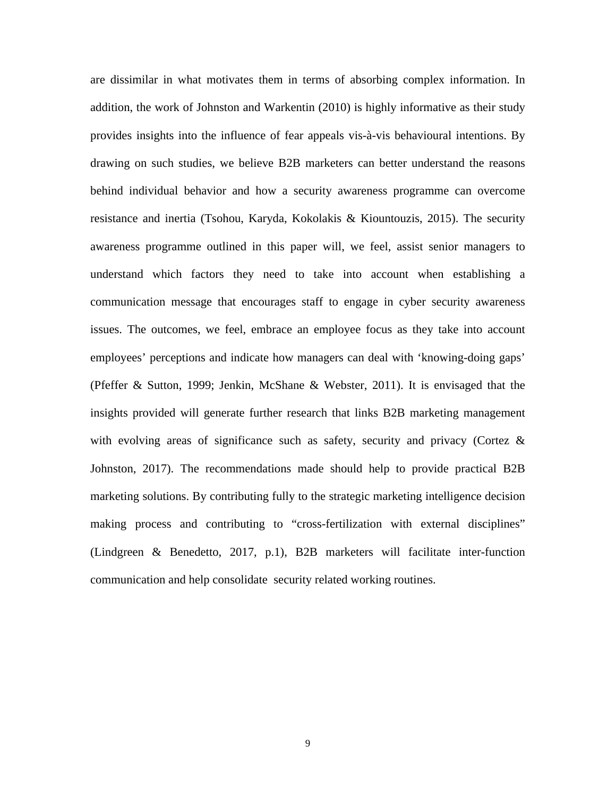are dissimilar in what motivates them in terms of absorbing complex information. In addition, the work of Johnston and Warkentin (2010) is highly informative as their study provides insights into the influence of fear appeals vis-à-vis behavioural intentions. By drawing on such studies, we believe B2B marketers can better understand the reasons behind individual behavior and how a security awareness programme can overcome resistance and inertia (Tsohou, Karyda, Kokolakis & Kiountouzis, 2015). The security awareness programme outlined in this paper will, we feel, assist senior managers to understand which factors they need to take into account when establishing a communication message that encourages staff to engage in cyber security awareness issues. The outcomes, we feel, embrace an employee focus as they take into account employees' perceptions and indicate how managers can deal with 'knowing-doing gaps' (Pfeffer & Sutton, 1999; Jenkin, McShane & Webster, 2011). It is envisaged that the insights provided will generate further research that links B2B marketing management with evolving areas of significance such as safety, security and privacy (Cortez  $\&$ Johnston, 2017). The recommendations made should help to provide practical B2B marketing solutions. By contributing fully to the strategic marketing intelligence decision making process and contributing to "cross-fertilization with external disciplines" (Lindgreen & Benedetto, 2017, p.1), B2B marketers will facilitate inter-function communication and help consolidate security related working routines.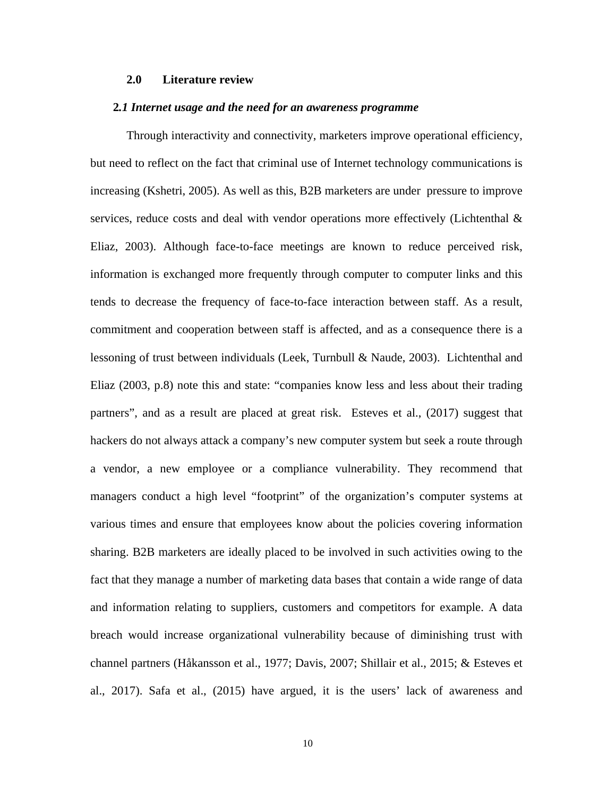#### **2.0 Literature review**

#### **2***.1 Internet usage and the need for an awareness programme*

Through interactivity and connectivity, marketers improve operational efficiency, but need to reflect on the fact that criminal use of Internet technology communications is increasing (Kshetri, 2005). As well as this, B2B marketers are under pressure to improve services, reduce costs and deal with vendor operations more effectively (Lichtenthal & Eliaz, 2003). Although face-to-face meetings are known to reduce perceived risk, information is exchanged more frequently through computer to computer links and this tends to decrease the frequency of face-to-face interaction between staff. As a result, commitment and cooperation between staff is affected, and as a consequence there is a lessoning of trust between individuals (Leek, Turnbull & Naude, 2003). Lichtenthal and Eliaz (2003, p.8) note this and state: "companies know less and less about their trading partners", and as a result are placed at great risk. Esteves et al., (2017) suggest that hackers do not always attack a company's new computer system but seek a route through a vendor, a new employee or a compliance vulnerability. They recommend that managers conduct a high level "footprint" of the organization's computer systems at various times and ensure that employees know about the policies covering information sharing. B2B marketers are ideally placed to be involved in such activities owing to the fact that they manage a number of marketing data bases that contain a wide range of data and information relating to suppliers, customers and competitors for example. A data breach would increase organizational vulnerability because of diminishing trust with channel partners (Håkansson et al., 1977; Davis, 2007; Shillair et al., 2015; & Esteves et al., 2017). Safa et al., (2015) have argued, it is the users' lack of awareness and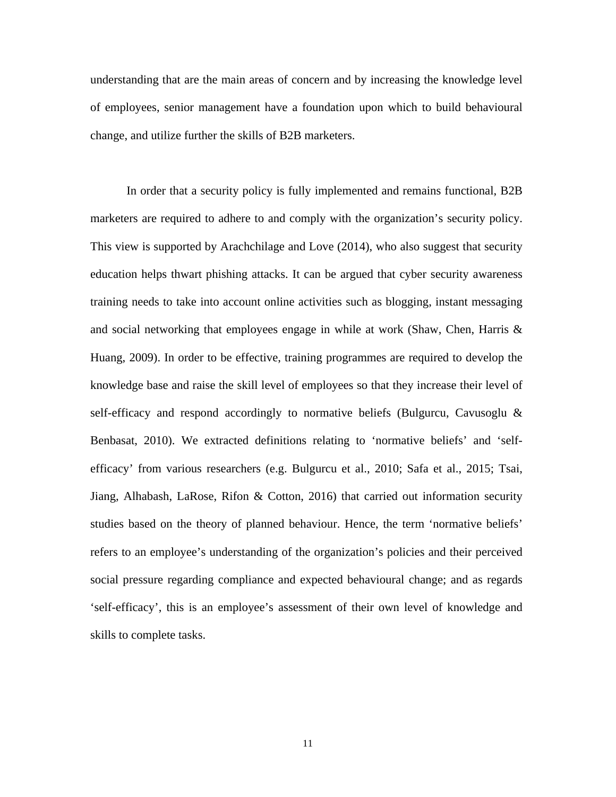understanding that are the main areas of concern and by increasing the knowledge level of employees, senior management have a foundation upon which to build behavioural change, and utilize further the skills of B2B marketers.

In order that a security policy is fully implemented and remains functional, B2B marketers are required to adhere to and comply with the organization's security policy. This view is supported by Arachchilage and Love (2014), who also suggest that security education helps thwart phishing attacks. It can be argued that cyber security awareness training needs to take into account online activities such as blogging, instant messaging and social networking that employees engage in while at work (Shaw, Chen, Harris & Huang, 2009). In order to be effective, training programmes are required to develop the knowledge base and raise the skill level of employees so that they increase their level of self-efficacy and respond accordingly to normative beliefs (Bulgurcu, Cavusoglu  $\&$ Benbasat, 2010). We extracted definitions relating to 'normative beliefs' and 'selfefficacy' from various researchers (e.g. Bulgurcu et al., 2010; Safa et al., 2015; Tsai, Jiang, Alhabash, LaRose, Rifon & Cotton, 2016) that carried out information security studies based on the theory of planned behaviour. Hence, the term 'normative beliefs' refers to an employee's understanding of the organization's policies and their perceived social pressure regarding compliance and expected behavioural change; and as regards 'self-efficacy', this is an employee's assessment of their own level of knowledge and skills to complete tasks.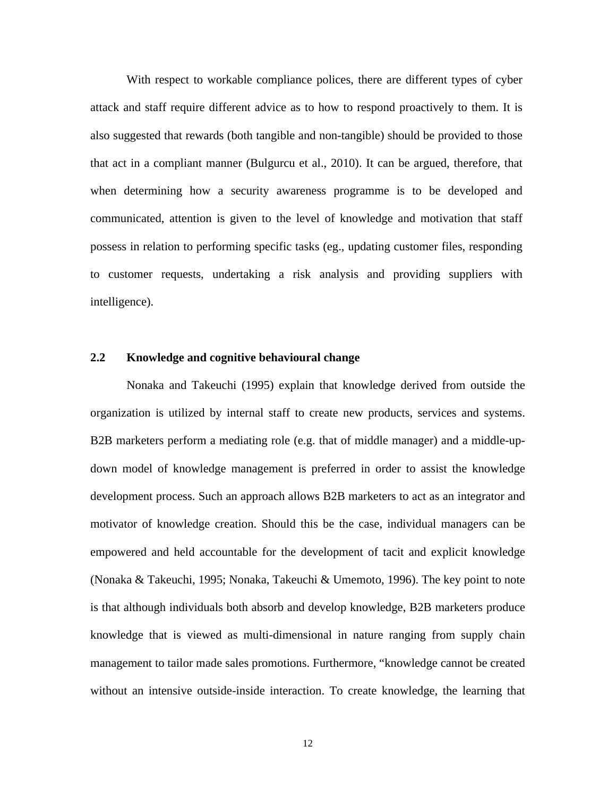With respect to workable compliance polices, there are different types of cyber attack and staff require different advice as to how to respond proactively to them. It is also suggested that rewards (both tangible and non-tangible) should be provided to those that act in a compliant manner (Bulgurcu et al., 2010). It can be argued, therefore, that when determining how a security awareness programme is to be developed and communicated, attention is given to the level of knowledge and motivation that staff possess in relation to performing specific tasks (eg., updating customer files, responding to customer requests, undertaking a risk analysis and providing suppliers with intelligence).

### **2.2 Knowledge and cognitive behavioural change**

Nonaka and Takeuchi (1995) explain that knowledge derived from outside the organization is utilized by internal staff to create new products, services and systems. B2B marketers perform a mediating role (e.g. that of middle manager) and a middle-updown model of knowledge management is preferred in order to assist the knowledge development process. Such an approach allows B2B marketers to act as an integrator and motivator of knowledge creation. Should this be the case, individual managers can be empowered and held accountable for the development of tacit and explicit knowledge (Nonaka & Takeuchi, 1995; Nonaka, Takeuchi & Umemoto, 1996). The key point to note is that although individuals both absorb and develop knowledge, B2B marketers produce knowledge that is viewed as multi-dimensional in nature ranging from supply chain management to tailor made sales promotions. Furthermore, "knowledge cannot be created without an intensive outside-inside interaction. To create knowledge, the learning that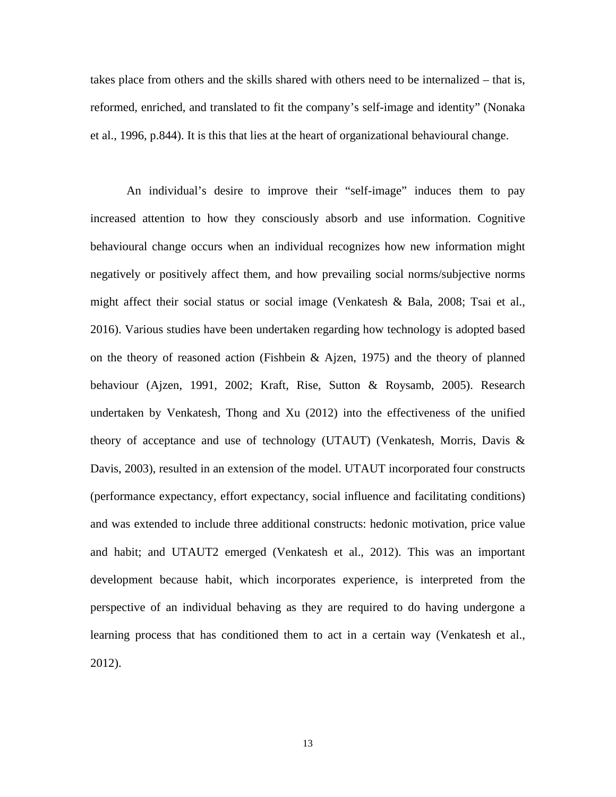takes place from others and the skills shared with others need to be internalized – that is, reformed, enriched, and translated to fit the company's self-image and identity" (Nonaka et al., 1996, p.844). It is this that lies at the heart of organizational behavioural change.

An individual's desire to improve their "self-image" induces them to pay increased attention to how they consciously absorb and use information. Cognitive behavioural change occurs when an individual recognizes how new information might negatively or positively affect them, and how prevailing social norms/subjective norms might affect their social status or social image (Venkatesh & Bala, 2008; Tsai et al., 2016). Various studies have been undertaken regarding how technology is adopted based on the theory of reasoned action (Fishbein & Ajzen, 1975) and the theory of planned behaviour (Ajzen, 1991, 2002; Kraft, Rise, Sutton & Roysamb, 2005). Research undertaken by Venkatesh, Thong and Xu (2012) into the effectiveness of the unified theory of acceptance and use of technology (UTAUT) (Venkatesh, Morris, Davis & Davis, 2003), resulted in an extension of the model. UTAUT incorporated four constructs (performance expectancy, effort expectancy, social influence and facilitating conditions) and was extended to include three additional constructs: hedonic motivation, price value and habit; and UTAUT2 emerged (Venkatesh et al., 2012). This was an important development because habit, which incorporates experience, is interpreted from the perspective of an individual behaving as they are required to do having undergone a learning process that has conditioned them to act in a certain way (Venkatesh et al., 2012).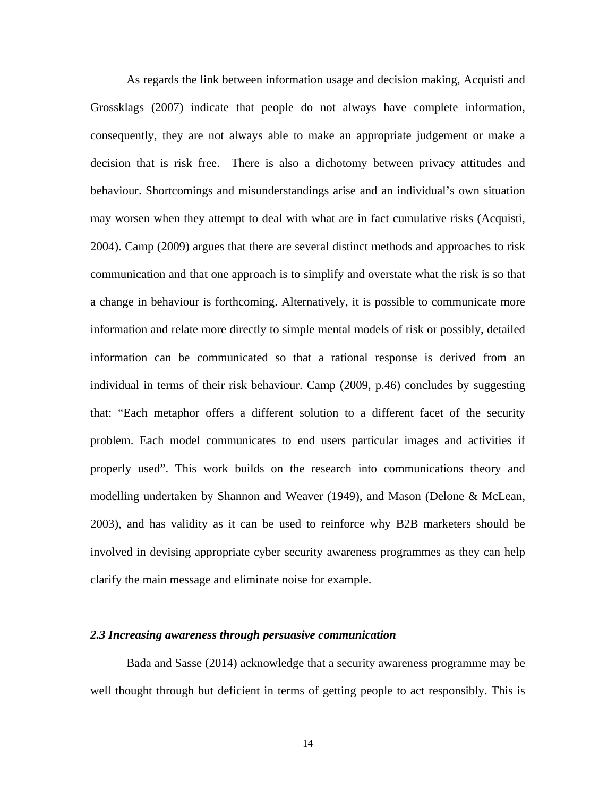As regards the link between information usage and decision making, Acquisti and Grossklags (2007) indicate that people do not always have complete information, consequently, they are not always able to make an appropriate judgement or make a decision that is risk free. There is also a dichotomy between privacy attitudes and behaviour. Shortcomings and misunderstandings arise and an individual's own situation may worsen when they attempt to deal with what are in fact cumulative risks (Acquisti, 2004). Camp (2009) argues that there are several distinct methods and approaches to risk communication and that one approach is to simplify and overstate what the risk is so that a change in behaviour is forthcoming. Alternatively, it is possible to communicate more information and relate more directly to simple mental models of risk or possibly, detailed information can be communicated so that a rational response is derived from an individual in terms of their risk behaviour. Camp (2009, p.46) concludes by suggesting that: "Each metaphor offers a different solution to a different facet of the security problem. Each model communicates to end users particular images and activities if properly used". This work builds on the research into communications theory and modelling undertaken by Shannon and Weaver (1949), and Mason (Delone & McLean, 2003), and has validity as it can be used to reinforce why B2B marketers should be involved in devising appropriate cyber security awareness programmes as they can help clarify the main message and eliminate noise for example.

### *2.3 Increasing awareness through persuasive communication*

Bada and Sasse (2014) acknowledge that a security awareness programme may be well thought through but deficient in terms of getting people to act responsibly. This is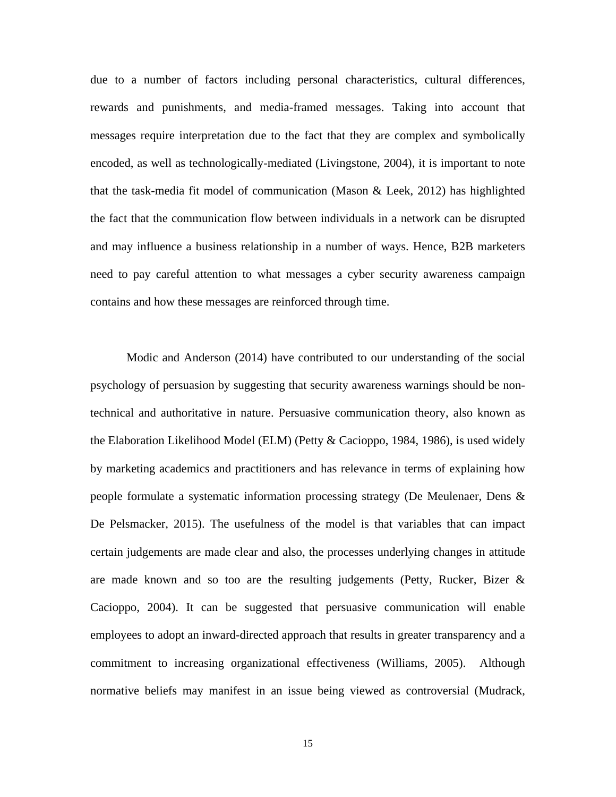due to a number of factors including personal characteristics, cultural differences, rewards and punishments, and media-framed messages. Taking into account that messages require interpretation due to the fact that they are complex and symbolically encoded, as well as technologically-mediated (Livingstone, 2004), it is important to note that the task-media fit model of communication (Mason & Leek, 2012) has highlighted the fact that the communication flow between individuals in a network can be disrupted and may influence a business relationship in a number of ways. Hence, B2B marketers need to pay careful attention to what messages a cyber security awareness campaign contains and how these messages are reinforced through time.

Modic and Anderson (2014) have contributed to our understanding of the social psychology of persuasion by suggesting that security awareness warnings should be nontechnical and authoritative in nature. Persuasive communication theory, also known as the Elaboration Likelihood Model (ELM) (Petty & Cacioppo, 1984, 1986), is used widely by marketing academics and practitioners and has relevance in terms of explaining how people formulate a systematic information processing strategy (De Meulenaer, Dens & De Pelsmacker, 2015). The usefulness of the model is that variables that can impact certain judgements are made clear and also, the processes underlying changes in attitude are made known and so too are the resulting judgements (Petty, Rucker, Bizer & Cacioppo, 2004). It can be suggested that persuasive communication will enable employees to adopt an inward-directed approach that results in greater transparency and a commitment to increasing organizational effectiveness (Williams, 2005). Although normative beliefs may manifest in an issue being viewed as controversial (Mudrack,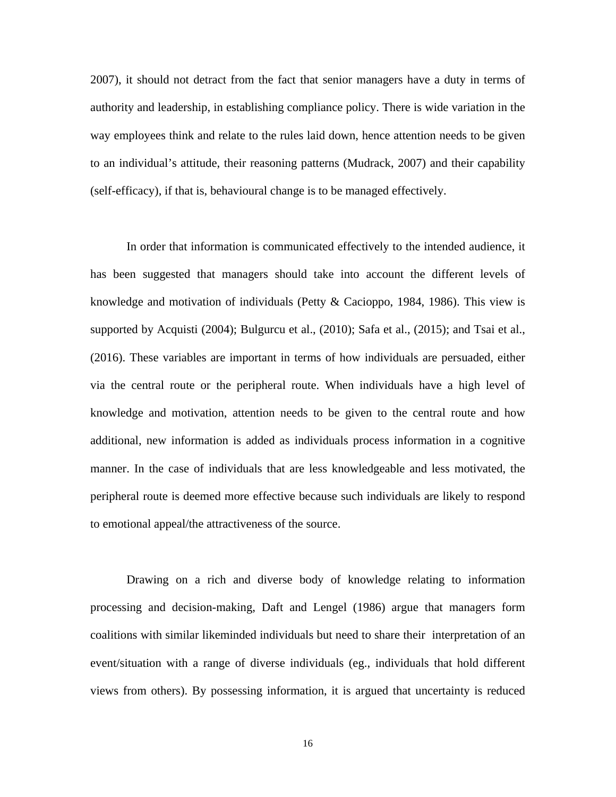2007), it should not detract from the fact that senior managers have a duty in terms of authority and leadership, in establishing compliance policy. There is wide variation in the way employees think and relate to the rules laid down, hence attention needs to be given to an individual's attitude, their reasoning patterns (Mudrack, 2007) and their capability (self-efficacy), if that is, behavioural change is to be managed effectively.

In order that information is communicated effectively to the intended audience, it has been suggested that managers should take into account the different levels of knowledge and motivation of individuals (Petty & Cacioppo, 1984, 1986). This view is supported by Acquisti (2004); Bulgurcu et al., (2010); Safa et al., (2015); and Tsai et al., (2016). These variables are important in terms of how individuals are persuaded, either via the central route or the peripheral route. When individuals have a high level of knowledge and motivation, attention needs to be given to the central route and how additional, new information is added as individuals process information in a cognitive manner. In the case of individuals that are less knowledgeable and less motivated, the peripheral route is deemed more effective because such individuals are likely to respond to emotional appeal/the attractiveness of the source.

Drawing on a rich and diverse body of knowledge relating to information processing and decision-making, Daft and Lengel (1986) argue that managers form coalitions with similar likeminded individuals but need to share their interpretation of an event/situation with a range of diverse individuals (eg., individuals that hold different views from others). By possessing information, it is argued that uncertainty is reduced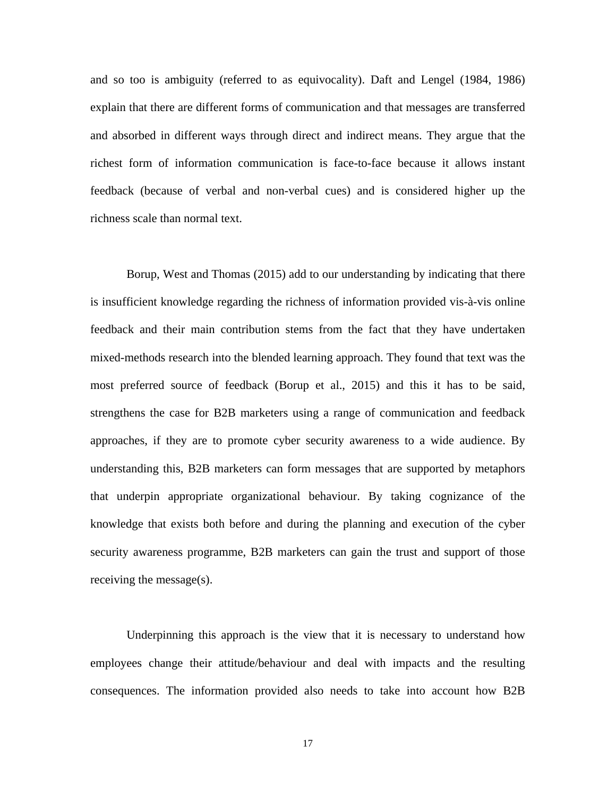and so too is ambiguity (referred to as equivocality). Daft and Lengel (1984, 1986) explain that there are different forms of communication and that messages are transferred and absorbed in different ways through direct and indirect means. They argue that the richest form of information communication is face-to-face because it allows instant feedback (because of verbal and non-verbal cues) and is considered higher up the richness scale than normal text.

Borup, West and Thomas (2015) add to our understanding by indicating that there is insufficient knowledge regarding the richness of information provided vis-à-vis online feedback and their main contribution stems from the fact that they have undertaken mixed-methods research into the blended learning approach. They found that text was the most preferred source of feedback (Borup et al., 2015) and this it has to be said, strengthens the case for B2B marketers using a range of communication and feedback approaches, if they are to promote cyber security awareness to a wide audience. By understanding this, B2B marketers can form messages that are supported by metaphors that underpin appropriate organizational behaviour. By taking cognizance of the knowledge that exists both before and during the planning and execution of the cyber security awareness programme, B2B marketers can gain the trust and support of those receiving the message(s).

Underpinning this approach is the view that it is necessary to understand how employees change their attitude/behaviour and deal with impacts and the resulting consequences. The information provided also needs to take into account how B2B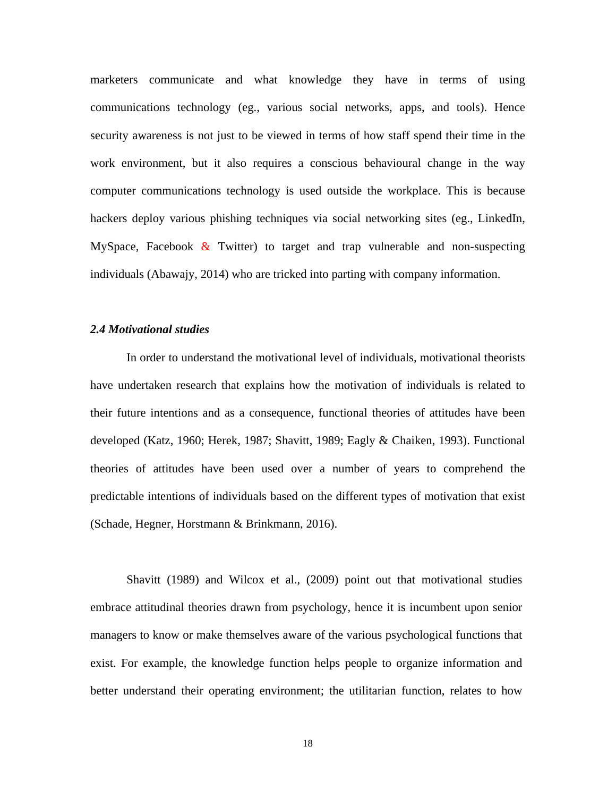marketers communicate and what knowledge they have in terms of using communications technology (eg., various social networks, apps, and tools). Hence security awareness is not just to be viewed in terms of how staff spend their time in the work environment, but it also requires a conscious behavioural change in the way computer communications technology is used outside the workplace. This is because hackers deploy various phishing techniques via social networking sites (eg., LinkedIn, MySpace, Facebook  $\&$  Twitter) to target and trap vulnerable and non-suspecting individuals (Abawajy, 2014) who are tricked into parting with company information.

## *2.4 Motivational studies*

In order to understand the motivational level of individuals, motivational theorists have undertaken research that explains how the motivation of individuals is related to their future intentions and as a consequence, functional theories of attitudes have been developed (Katz, 1960; Herek, 1987; Shavitt, 1989; Eagly & Chaiken, 1993). Functional theories of attitudes have been used over a number of years to comprehend the predictable intentions of individuals based on the different types of motivation that exist (Schade, Hegner, Horstmann & Brinkmann, 2016).

Shavitt (1989) and Wilcox et al., (2009) point out that motivational studies embrace attitudinal theories drawn from psychology, hence it is incumbent upon senior managers to know or make themselves aware of the various psychological functions that exist. For example, the knowledge function helps people to organize information and better understand their operating environment; the utilitarian function, relates to how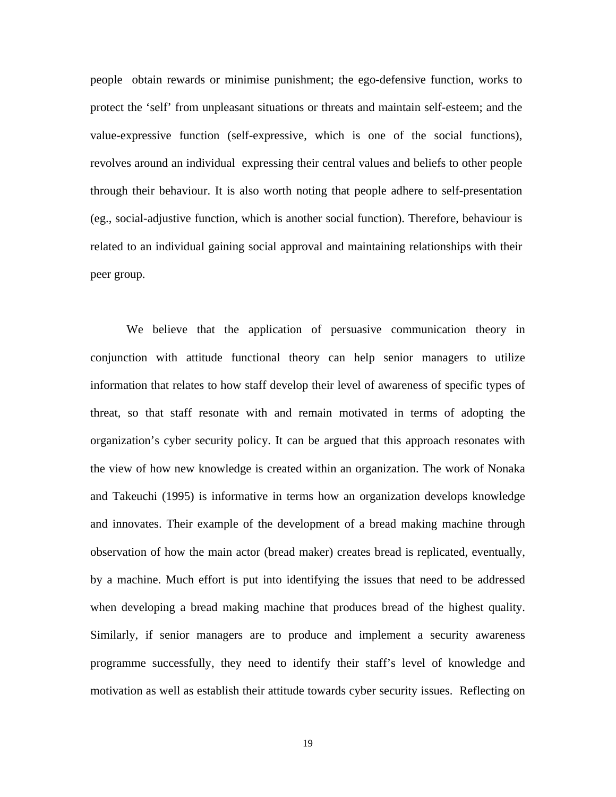people obtain rewards or minimise punishment; the ego-defensive function, works to protect the 'self' from unpleasant situations or threats and maintain self-esteem; and the value-expressive function (self-expressive, which is one of the social functions), revolves around an individual expressing their central values and beliefs to other people through their behaviour. It is also worth noting that people adhere to self-presentation (eg., social-adjustive function, which is another social function). Therefore, behaviour is related to an individual gaining social approval and maintaining relationships with their peer group.

We believe that the application of persuasive communication theory in conjunction with attitude functional theory can help senior managers to utilize information that relates to how staff develop their level of awareness of specific types of threat, so that staff resonate with and remain motivated in terms of adopting the organization's cyber security policy. It can be argued that this approach resonates with the view of how new knowledge is created within an organization. The work of Nonaka and Takeuchi (1995) is informative in terms how an organization develops knowledge and innovates. Their example of the development of a bread making machine through observation of how the main actor (bread maker) creates bread is replicated, eventually, by a machine. Much effort is put into identifying the issues that need to be addressed when developing a bread making machine that produces bread of the highest quality. Similarly, if senior managers are to produce and implement a security awareness programme successfully, they need to identify their staff's level of knowledge and motivation as well as establish their attitude towards cyber security issues. Reflecting on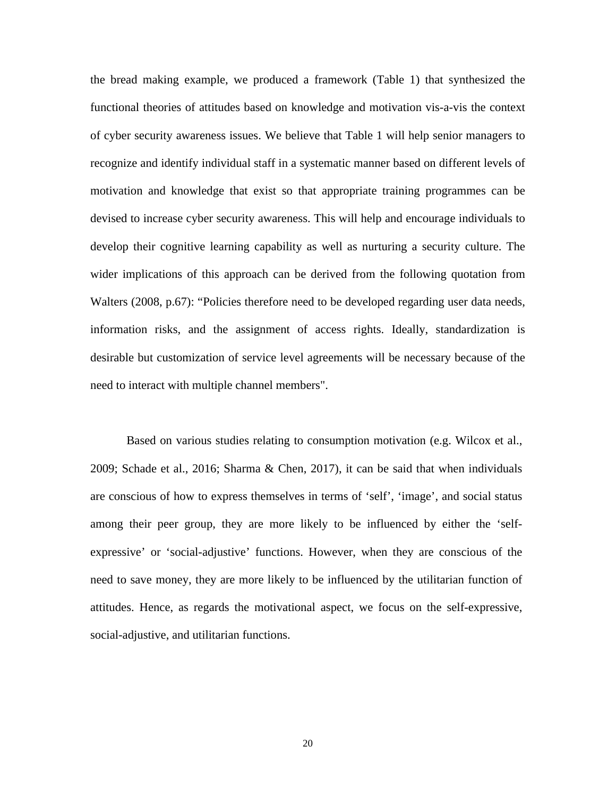the bread making example, we produced a framework (Table 1) that synthesized the functional theories of attitudes based on knowledge and motivation vis-a-vis the context of cyber security awareness issues. We believe that Table 1 will help senior managers to recognize and identify individual staff in a systematic manner based on different levels of motivation and knowledge that exist so that appropriate training programmes can be devised to increase cyber security awareness. This will help and encourage individuals to develop their cognitive learning capability as well as nurturing a security culture. The wider implications of this approach can be derived from the following quotation from Walters (2008, p.67): "Policies therefore need to be developed regarding user data needs, information risks, and the assignment of access rights. Ideally, standardization is desirable but customization of service level agreements will be necessary because of the need to interact with multiple channel members".

Based on various studies relating to consumption motivation (e.g. Wilcox et al., 2009; Schade et al., 2016; Sharma & Chen, 2017), it can be said that when individuals are conscious of how to express themselves in terms of 'self', 'image', and social status among their peer group, they are more likely to be influenced by either the 'selfexpressive' or 'social-adjustive' functions. However, when they are conscious of the need to save money, they are more likely to be influenced by the utilitarian function of attitudes. Hence, as regards the motivational aspect, we focus on the self-expressive, social-adjustive, and utilitarian functions.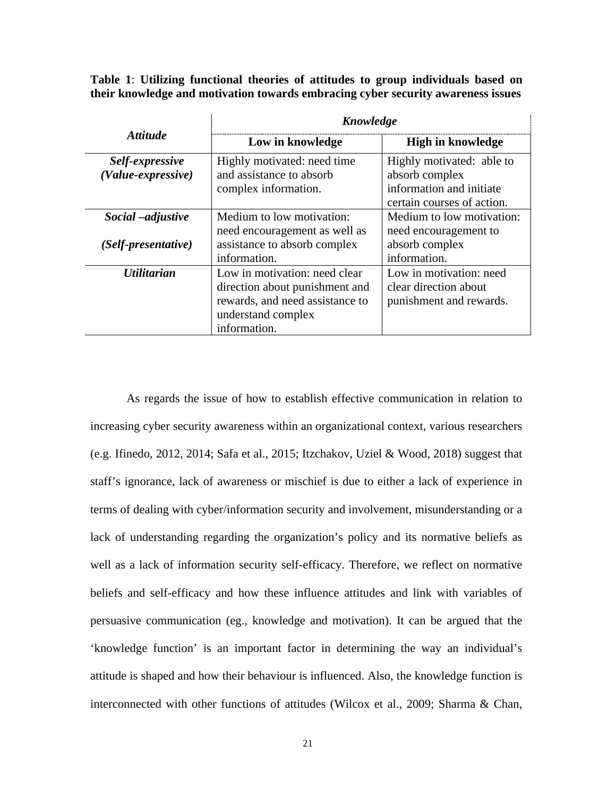**Table 1**: **Utilizing functional theories of attitudes to group individuals based on their knowledge and motivation towards embracing cyber security awareness issues**

|                                           | Knowledge                                                                                                                                |                                                                                                       |  |
|-------------------------------------------|------------------------------------------------------------------------------------------------------------------------------------------|-------------------------------------------------------------------------------------------------------|--|
| <i>Attitude</i>                           | Low in knowledge                                                                                                                         | <b>High in knowledge</b>                                                                              |  |
| Self-expressive<br>(Value-expressive)     | Highly motivated: need time<br>and assistance to absorb<br>complex information.                                                          | Highly motivated: able to<br>absorb complex<br>information and initiate<br>certain courses of action. |  |
| Social – adjustive<br>(Self-presentative) | Medium to low motivation:<br>need encouragement as well as<br>assistance to absorb complex<br>information.                               | Medium to low motivation:<br>need encouragement to<br>absorb complex<br>information.                  |  |
| <i><b>Utilitarian</b></i>                 | Low in motivation: need clear<br>direction about punishment and<br>rewards, and need assistance to<br>understand complex<br>information. | Low in motivation: need<br>clear direction about<br>punishment and rewards.                           |  |

As regards the issue of how to establish effective communication in relation to increasing cyber security awareness within an organizational context, various researchers (e.g. Ifinedo, 2012, 2014; Safa et al., 2015; Itzchakov, Uziel & Wood, 2018) suggest that staff's ignorance, lack of awareness or mischief is due to either a lack of experience in terms of dealing with cyber/information security and involvement, misunderstanding or a lack of understanding regarding the organization's policy and its normative beliefs as well as a lack of information security self-efficacy. Therefore, we reflect on normative beliefs and self-efficacy and how these influence attitudes and link with variables of persuasive communication (eg., knowledge and motivation). It can be argued that the 'knowledge function' is an important factor in determining the way an individual's attitude is shaped and how their behaviour is influenced. Also, the knowledge function is interconnected with other functions of attitudes (Wilcox et al., 2009; Sharma & Chan,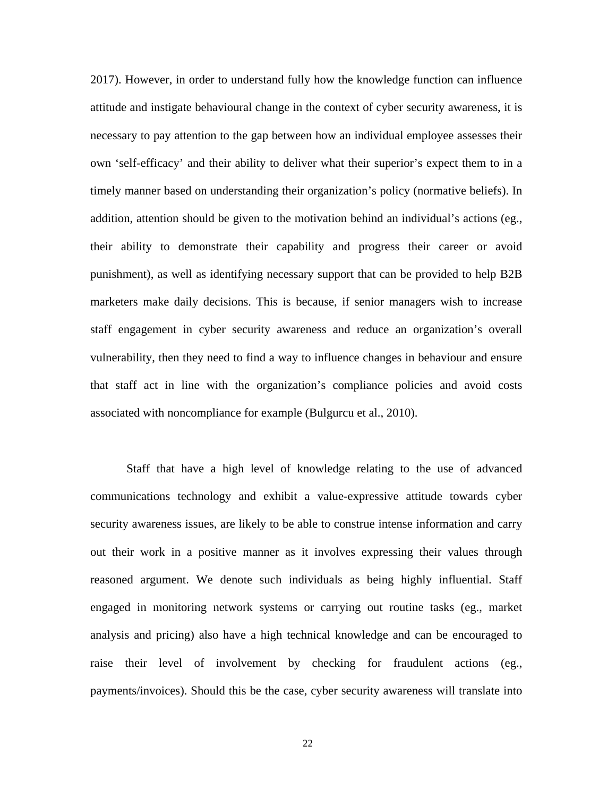2017). However, in order to understand fully how the knowledge function can influence attitude and instigate behavioural change in the context of cyber security awareness, it is necessary to pay attention to the gap between how an individual employee assesses their own 'self-efficacy' and their ability to deliver what their superior's expect them to in a timely manner based on understanding their organization's policy (normative beliefs). In addition, attention should be given to the motivation behind an individual's actions (eg., their ability to demonstrate their capability and progress their career or avoid punishment), as well as identifying necessary support that can be provided to help B2B marketers make daily decisions. This is because, if senior managers wish to increase staff engagement in cyber security awareness and reduce an organization's overall vulnerability, then they need to find a way to influence changes in behaviour and ensure that staff act in line with the organization's compliance policies and avoid costs associated with noncompliance for example (Bulgurcu et al., 2010).

Staff that have a high level of knowledge relating to the use of advanced communications technology and exhibit a value-expressive attitude towards cyber security awareness issues, are likely to be able to construe intense information and carry out their work in a positive manner as it involves expressing their values through reasoned argument. We denote such individuals as being highly influential. Staff engaged in monitoring network systems or carrying out routine tasks (eg., market analysis and pricing) also have a high technical knowledge and can be encouraged to raise their level of involvement by checking for fraudulent actions (eg., payments/invoices). Should this be the case, cyber security awareness will translate into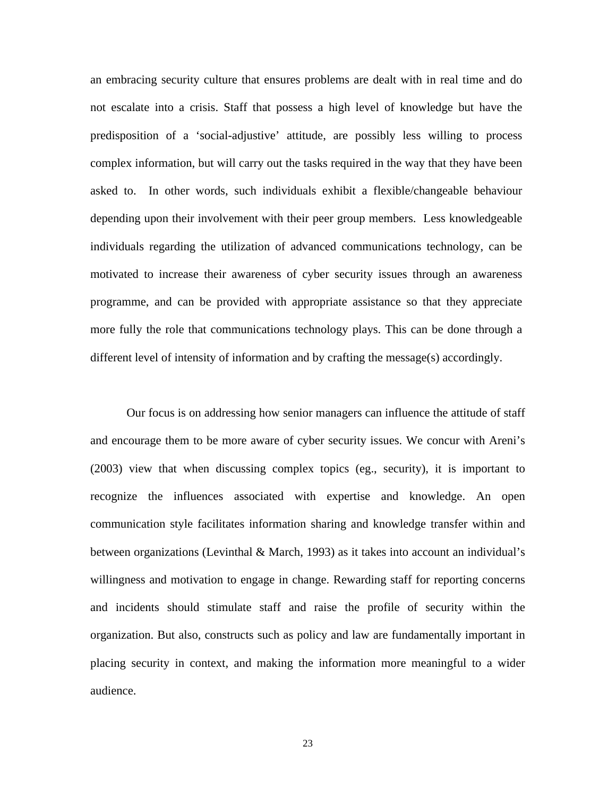an embracing security culture that ensures problems are dealt with in real time and do not escalate into a crisis. Staff that possess a high level of knowledge but have the predisposition of a 'social-adjustive' attitude, are possibly less willing to process complex information, but will carry out the tasks required in the way that they have been asked to. In other words, such individuals exhibit a flexible/changeable behaviour depending upon their involvement with their peer group members. Less knowledgeable individuals regarding the utilization of advanced communications technology, can be motivated to increase their awareness of cyber security issues through an awareness programme, and can be provided with appropriate assistance so that they appreciate more fully the role that communications technology plays. This can be done through a different level of intensity of information and by crafting the message(s) accordingly.

Our focus is on addressing how senior managers can influence the attitude of staff and encourage them to be more aware of cyber security issues. We concur with Areni's (2003) view that when discussing complex topics (eg., security), it is important to recognize the influences associated with expertise and knowledge. An open communication style facilitates information sharing and knowledge transfer within and between organizations (Levinthal & March, 1993) as it takes into account an individual's willingness and motivation to engage in change. Rewarding staff for reporting concerns and incidents should stimulate staff and raise the profile of security within the organization. But also, constructs such as policy and law are fundamentally important in placing security in context, and making the information more meaningful to a wider audience.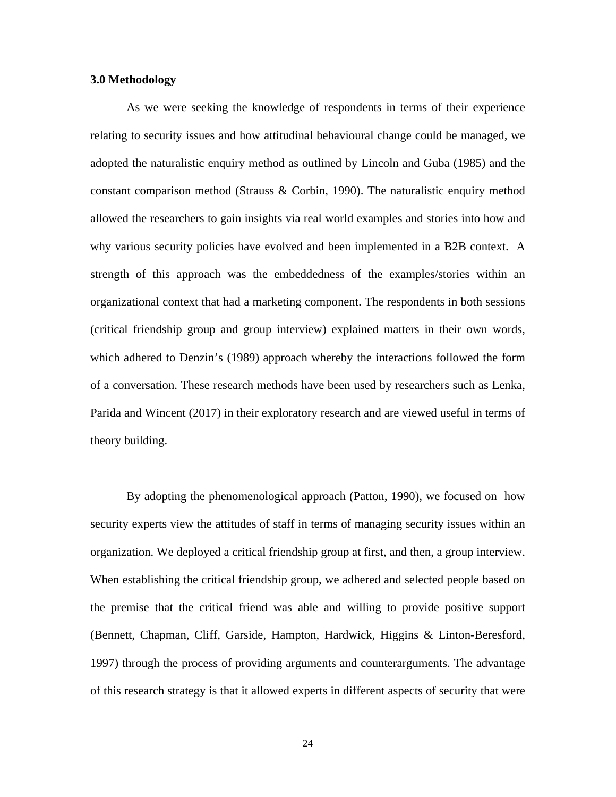#### **3.0 Methodology**

As we were seeking the knowledge of respondents in terms of their experience relating to security issues and how attitudinal behavioural change could be managed, we adopted the naturalistic enquiry method as outlined by Lincoln and Guba (1985) and the constant comparison method (Strauss & Corbin, 1990). The naturalistic enquiry method allowed the researchers to gain insights via real world examples and stories into how and why various security policies have evolved and been implemented in a B2B context. A strength of this approach was the embeddedness of the examples/stories within an organizational context that had a marketing component. The respondents in both sessions (critical friendship group and group interview) explained matters in their own words, which adhered to Denzin's (1989) approach whereby the interactions followed the form of a conversation. These research methods have been used by researchers such as Lenka, Parida and Wincent (2017) in their exploratory research and are viewed useful in terms of theory building.

By adopting the phenomenological approach (Patton, 1990), we focused on how security experts view the attitudes of staff in terms of managing security issues within an organization. We deployed a critical friendship group at first, and then, a group interview. When establishing the critical friendship group, we adhered and selected people based on the premise that the critical friend was able and willing to provide positive support (Bennett, Chapman, Cliff, Garside, Hampton, Hardwick, Higgins & Linton-Beresford, 1997) through the process of providing arguments and counterarguments. The advantage of this research strategy is that it allowed experts in different aspects of security that were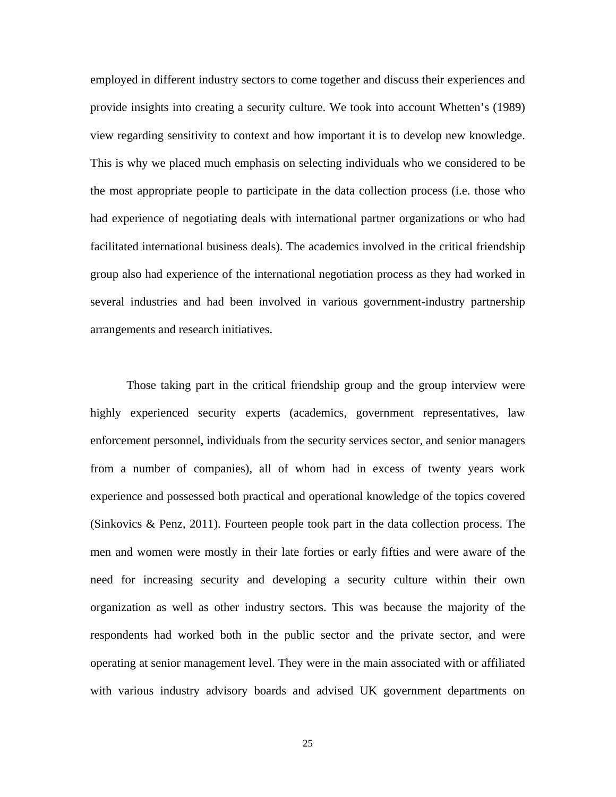employed in different industry sectors to come together and discuss their experiences and provide insights into creating a security culture. We took into account Whetten's (1989) view regarding sensitivity to context and how important it is to develop new knowledge. This is why we placed much emphasis on selecting individuals who we considered to be the most appropriate people to participate in the data collection process (i.e. those who had experience of negotiating deals with international partner organizations or who had facilitated international business deals). The academics involved in the critical friendship group also had experience of the international negotiation process as they had worked in several industries and had been involved in various government-industry partnership arrangements and research initiatives.

Those taking part in the critical friendship group and the group interview were highly experienced security experts (academics, government representatives, law enforcement personnel, individuals from the security services sector, and senior managers from a number of companies), all of whom had in excess of twenty years work experience and possessed both practical and operational knowledge of the topics covered (Sinkovics & Penz, 2011). Fourteen people took part in the data collection process. The men and women were mostly in their late forties or early fifties and were aware of the need for increasing security and developing a security culture within their own organization as well as other industry sectors. This was because the majority of the respondents had worked both in the public sector and the private sector, and were operating at senior management level. They were in the main associated with or affiliated with various industry advisory boards and advised UK government departments on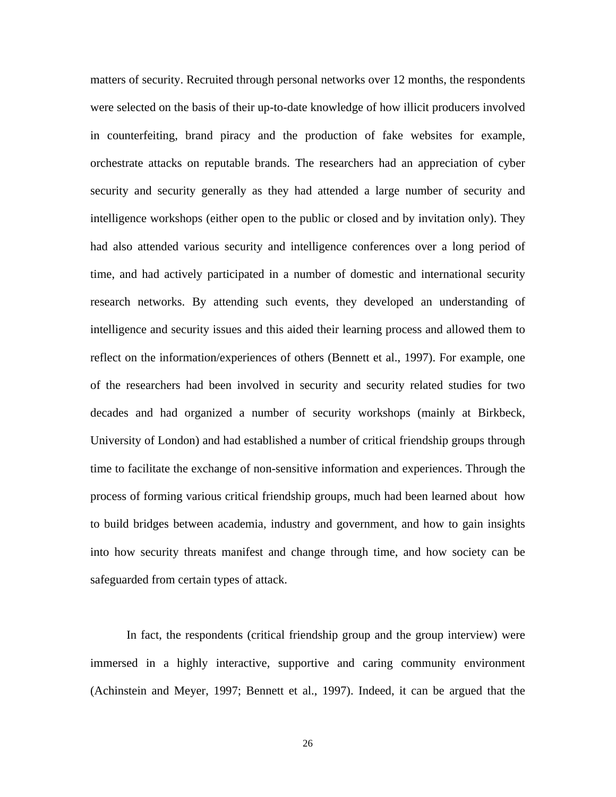matters of security. Recruited through personal networks over 12 months, the respondents were selected on the basis of their up-to-date knowledge of how illicit producers involved in counterfeiting, brand piracy and the production of fake websites for example, orchestrate attacks on reputable brands. The researchers had an appreciation of cyber security and security generally as they had attended a large number of security and intelligence workshops (either open to the public or closed and by invitation only). They had also attended various security and intelligence conferences over a long period of time, and had actively participated in a number of domestic and international security research networks. By attending such events, they developed an understanding of intelligence and security issues and this aided their learning process and allowed them to reflect on the information/experiences of others (Bennett et al., 1997). For example, one of the researchers had been involved in security and security related studies for two decades and had organized a number of security workshops (mainly at Birkbeck, University of London) and had established a number of critical friendship groups through time to facilitate the exchange of non-sensitive information and experiences. Through the process of forming various critical friendship groups, much had been learned about how to build bridges between academia, industry and government, and how to gain insights into how security threats manifest and change through time, and how society can be safeguarded from certain types of attack.

In fact, the respondents (critical friendship group and the group interview) were immersed in a highly interactive, supportive and caring community environment (Achinstein and Meyer, 1997; Bennett et al., 1997). Indeed, it can be argued that the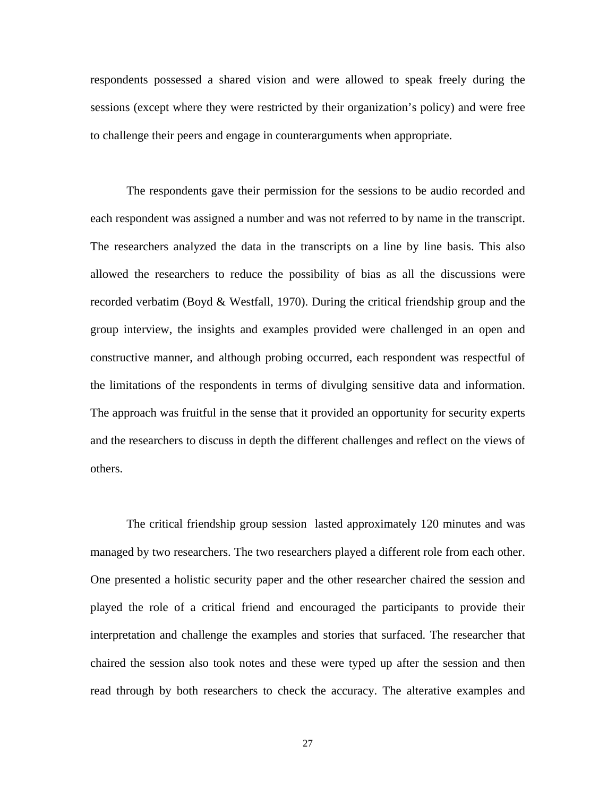respondents possessed a shared vision and were allowed to speak freely during the sessions (except where they were restricted by their organization's policy) and were free to challenge their peers and engage in counterarguments when appropriate.

The respondents gave their permission for the sessions to be audio recorded and each respondent was assigned a number and was not referred to by name in the transcript. The researchers analyzed the data in the transcripts on a line by line basis. This also allowed the researchers to reduce the possibility of bias as all the discussions were recorded verbatim (Boyd & Westfall, 1970). During the critical friendship group and the group interview, the insights and examples provided were challenged in an open and constructive manner, and although probing occurred, each respondent was respectful of the limitations of the respondents in terms of divulging sensitive data and information. The approach was fruitful in the sense that it provided an opportunity for security experts and the researchers to discuss in depth the different challenges and reflect on the views of others.

The critical friendship group session lasted approximately 120 minutes and was managed by two researchers. The two researchers played a different role from each other. One presented a holistic security paper and the other researcher chaired the session and played the role of a critical friend and encouraged the participants to provide their interpretation and challenge the examples and stories that surfaced. The researcher that chaired the session also took notes and these were typed up after the session and then read through by both researchers to check the accuracy. The alterative examples and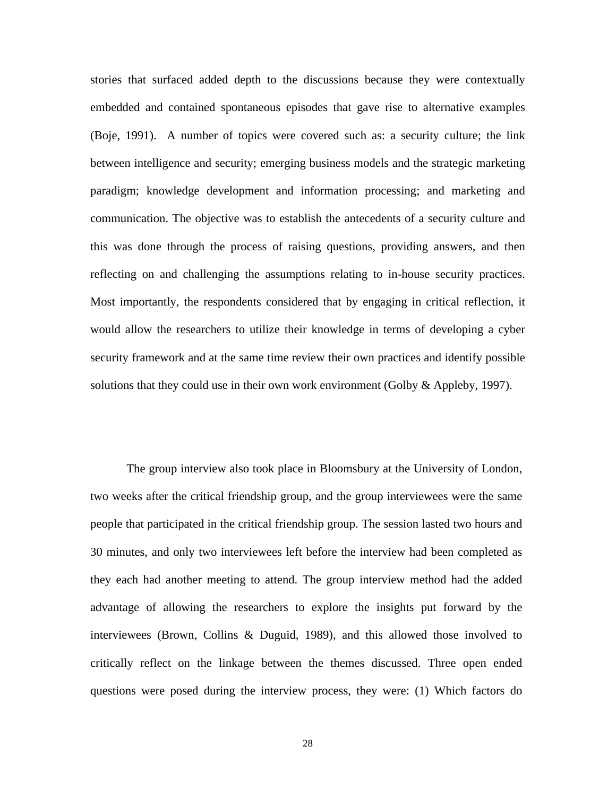stories that surfaced added depth to the discussions because they were contextually embedded and contained spontaneous episodes that gave rise to alternative examples (Boje, 1991). A number of topics were covered such as: a security culture; the link between intelligence and security; emerging business models and the strategic marketing paradigm; knowledge development and information processing; and marketing and communication. The objective was to establish the antecedents of a security culture and this was done through the process of raising questions, providing answers, and then reflecting on and challenging the assumptions relating to in-house security practices. Most importantly, the respondents considered that by engaging in critical reflection, it would allow the researchers to utilize their knowledge in terms of developing a cyber security framework and at the same time review their own practices and identify possible solutions that they could use in their own work environment (Golby & Appleby, 1997).

The group interview also took place in Bloomsbury at the University of London, two weeks after the critical friendship group, and the group interviewees were the same people that participated in the critical friendship group. The session lasted two hours and 30 minutes, and only two interviewees left before the interview had been completed as they each had another meeting to attend. The group interview method had the added advantage of allowing the researchers to explore the insights put forward by the interviewees (Brown, Collins & Duguid, 1989), and this allowed those involved to critically reflect on the linkage between the themes discussed. Three open ended questions were posed during the interview process, they were: (1) Which factors do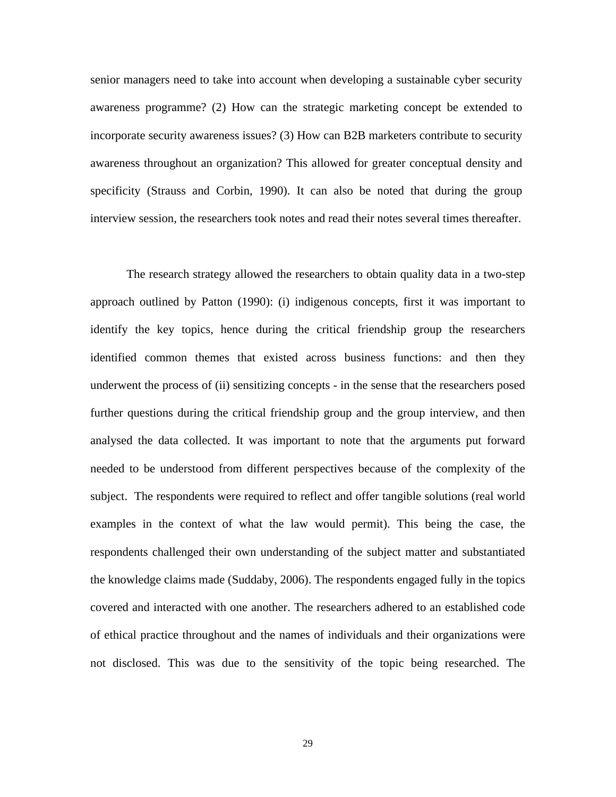senior managers need to take into account when developing a sustainable cyber security awareness programme? (2) How can the strategic marketing concept be extended to incorporate security awareness issues? (3) How can B2B marketers contribute to security awareness throughout an organization? This allowed for greater conceptual density and specificity (Strauss and Corbin, 1990). It can also be noted that during the group interview session, the researchers took notes and read their notes several times thereafter.

The research strategy allowed the researchers to obtain quality data in a two-step approach outlined by Patton (1990): (i) indigenous concepts, first it was important to identify the key topics, hence during the critical friendship group the researchers identified common themes that existed across business functions: and then they underwent the process of (ii) sensitizing concepts - in the sense that the researchers posed further questions during the critical friendship group and the group interview, and then analysed the data collected. It was important to note that the arguments put forward needed to be understood from different perspectives because of the complexity of the subject. The respondents were required to reflect and offer tangible solutions (real world examples in the context of what the law would permit). This being the case, the respondents challenged their own understanding of the subject matter and substantiated the knowledge claims made (Suddaby, 2006). The respondents engaged fully in the topics covered and interacted with one another. The researchers adhered to an established code of ethical practice throughout and the names of individuals and their organizations were not disclosed. This was due to the sensitivity of the topic being researched. The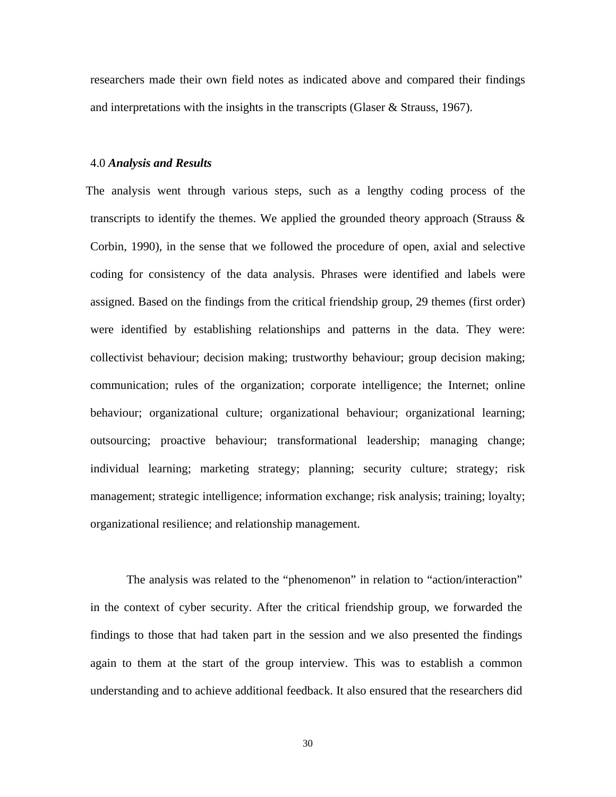researchers made their own field notes as indicated above and compared their findings and interpretations with the insights in the transcripts (Glaser & Strauss, 1967).

#### 4.0 *Analysis and Results*

The analysis went through various steps, such as a lengthy coding process of the transcripts to identify the themes. We applied the grounded theory approach (Strauss  $\&$ Corbin, 1990), in the sense that we followed the procedure of open, axial and selective coding for consistency of the data analysis. Phrases were identified and labels were assigned. Based on the findings from the critical friendship group, 29 themes (first order) were identified by establishing relationships and patterns in the data. They were: collectivist behaviour; decision making; trustworthy behaviour; group decision making; communication; rules of the organization; corporate intelligence; the Internet; online behaviour; organizational culture; organizational behaviour; organizational learning; outsourcing; proactive behaviour; transformational leadership; managing change; individual learning; marketing strategy; planning; security culture; strategy; risk management; strategic intelligence; information exchange; risk analysis; training; loyalty; organizational resilience; and relationship management.

The analysis was related to the "phenomenon" in relation to "action/interaction" in the context of cyber security. After the critical friendship group, we forwarded the findings to those that had taken part in the session and we also presented the findings again to them at the start of the group interview. This was to establish a common understanding and to achieve additional feedback. It also ensured that the researchers did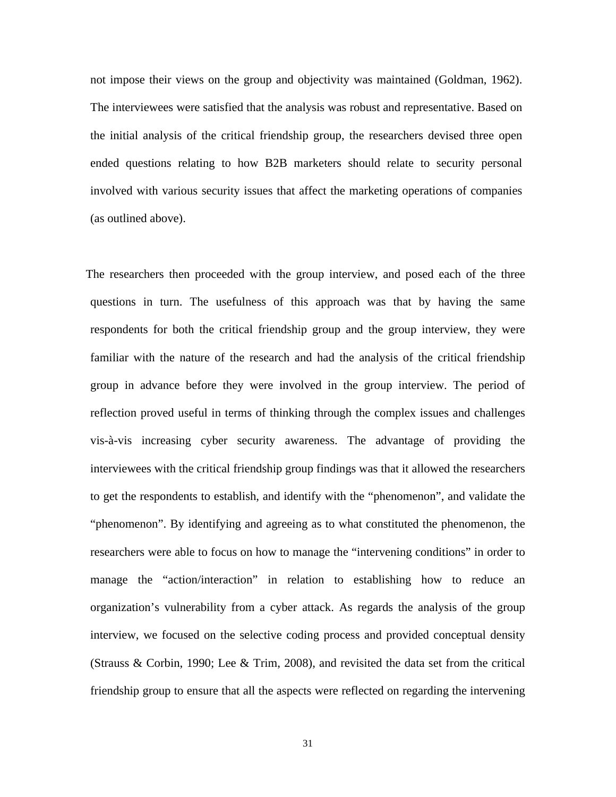not impose their views on the group and objectivity was maintained (Goldman, 1962). The interviewees were satisfied that the analysis was robust and representative. Based on the initial analysis of the critical friendship group, the researchers devised three open ended questions relating to how B2B marketers should relate to security personal involved with various security issues that affect the marketing operations of companies (as outlined above).

The researchers then proceeded with the group interview, and posed each of the three questions in turn. The usefulness of this approach was that by having the same respondents for both the critical friendship group and the group interview, they were familiar with the nature of the research and had the analysis of the critical friendship group in advance before they were involved in the group interview. The period of reflection proved useful in terms of thinking through the complex issues and challenges vis-à-vis increasing cyber security awareness. The advantage of providing the interviewees with the critical friendship group findings was that it allowed the researchers to get the respondents to establish, and identify with the "phenomenon", and validate the "phenomenon". By identifying and agreeing as to what constituted the phenomenon, the researchers were able to focus on how to manage the "intervening conditions" in order to manage the "action/interaction" in relation to establishing how to reduce an organization's vulnerability from a cyber attack. As regards the analysis of the group interview, we focused on the selective coding process and provided conceptual density (Strauss & Corbin, 1990; Lee & Trim, 2008), and revisited the data set from the critical friendship group to ensure that all the aspects were reflected on regarding the intervening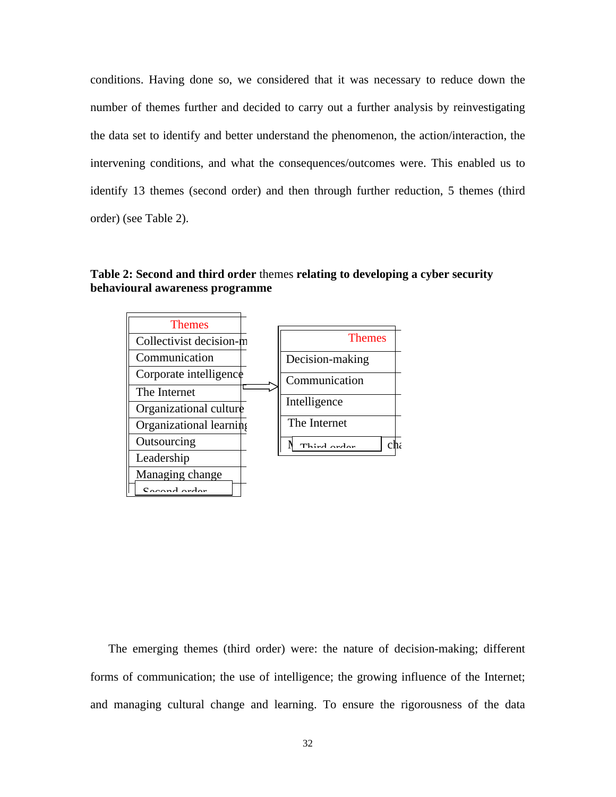conditions. Having done so, we considered that it was necessary to reduce down the number of themes further and decided to carry out a further analysis by reinvestigating the data set to identify and better understand the phenomenon, the action/interaction, the intervening conditions, and what the consequences/outcomes were. This enabled us to identify 13 themes (second order) and then through further reduction, 5 themes (third order) (see Table 2).

**Table 2: Second and third order** themes **relating to developing a cyber security behavioural awareness programme** 



The emerging themes (third order) were: the nature of decision-making; different forms of communication; the use of intelligence; the growing influence of the Internet; and managing cultural change and learning. To ensure the rigorousness of the data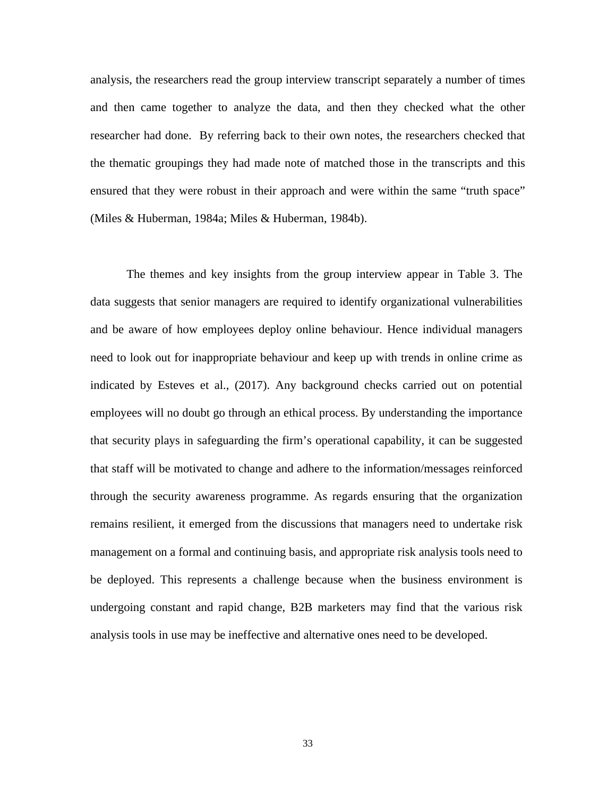analysis, the researchers read the group interview transcript separately a number of times and then came together to analyze the data, and then they checked what the other researcher had done. By referring back to their own notes, the researchers checked that the thematic groupings they had made note of matched those in the transcripts and this ensured that they were robust in their approach and were within the same "truth space" (Miles & Huberman, 1984a; Miles & Huberman, 1984b).

The themes and key insights from the group interview appear in Table 3. The data suggests that senior managers are required to identify organizational vulnerabilities and be aware of how employees deploy online behaviour. Hence individual managers need to look out for inappropriate behaviour and keep up with trends in online crime as indicated by Esteves et al., (2017). Any background checks carried out on potential employees will no doubt go through an ethical process. By understanding the importance that security plays in safeguarding the firm's operational capability, it can be suggested that staff will be motivated to change and adhere to the information/messages reinforced through the security awareness programme. As regards ensuring that the organization remains resilient, it emerged from the discussions that managers need to undertake risk management on a formal and continuing basis, and appropriate risk analysis tools need to be deployed. This represents a challenge because when the business environment is undergoing constant and rapid change, B2B marketers may find that the various risk analysis tools in use may be ineffective and alternative ones need to be developed.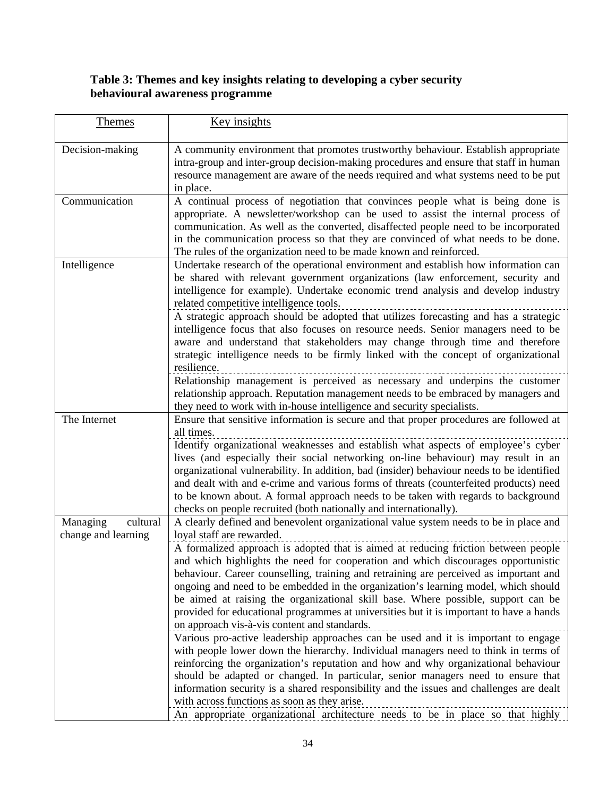## **Table 3: Themes and key insights relating to developing a cyber security behavioural awareness programme**

| <b>Themes</b>                               | Key insights                                                                                                                                                                                                                                                                                                                                                                                                                                                                                                                                                                                                                                                                                                                                                                                                                                                                                                                                                                                                                                                                                                                                                                                                                                                                                     |
|---------------------------------------------|--------------------------------------------------------------------------------------------------------------------------------------------------------------------------------------------------------------------------------------------------------------------------------------------------------------------------------------------------------------------------------------------------------------------------------------------------------------------------------------------------------------------------------------------------------------------------------------------------------------------------------------------------------------------------------------------------------------------------------------------------------------------------------------------------------------------------------------------------------------------------------------------------------------------------------------------------------------------------------------------------------------------------------------------------------------------------------------------------------------------------------------------------------------------------------------------------------------------------------------------------------------------------------------------------|
| Decision-making                             | A community environment that promotes trustworthy behaviour. Establish appropriate<br>intra-group and inter-group decision-making procedures and ensure that staff in human<br>resource management are aware of the needs required and what systems need to be put<br>in place.                                                                                                                                                                                                                                                                                                                                                                                                                                                                                                                                                                                                                                                                                                                                                                                                                                                                                                                                                                                                                  |
| Communication                               | A continual process of negotiation that convinces people what is being done is<br>appropriate. A newsletter/workshop can be used to assist the internal process of<br>communication. As well as the converted, disaffected people need to be incorporated<br>in the communication process so that they are convinced of what needs to be done.<br>The rules of the organization need to be made known and reinforced.                                                                                                                                                                                                                                                                                                                                                                                                                                                                                                                                                                                                                                                                                                                                                                                                                                                                            |
| Intelligence                                | Undertake research of the operational environment and establish how information can<br>be shared with relevant government organizations (law enforcement, security and<br>intelligence for example). Undertake economic trend analysis and develop industry<br>related competitive intelligence tools.<br>A strategic approach should be adopted that utilizes forecasting and has a strategic<br>intelligence focus that also focuses on resource needs. Senior managers need to be<br>aware and understand that stakeholders may change through time and therefore<br>strategic intelligence needs to be firmly linked with the concept of organizational<br>resilience.<br>Relationship management is perceived as necessary and underpins the customer<br>relationship approach. Reputation management needs to be embraced by managers and<br>they need to work with in-house intelligence and security specialists.                                                                                                                                                                                                                                                                                                                                                                        |
| The Internet                                | Ensure that sensitive information is secure and that proper procedures are followed at<br>all times.<br>Identify organizational weaknesses and establish what aspects of employee's cyber<br>lives (and especially their social networking on-line behaviour) may result in an<br>organizational vulnerability. In addition, bad (insider) behaviour needs to be identified<br>and dealt with and e-crime and various forms of threats (counterfeited products) need<br>to be known about. A formal approach needs to be taken with regards to background<br>checks on people recruited (both nationally and internationally).                                                                                                                                                                                                                                                                                                                                                                                                                                                                                                                                                                                                                                                                   |
| cultural<br>Managing<br>change and learning | A clearly defined and benevolent organizational value system needs to be in place and<br>loyal staff are rewarded.<br>A formalized approach is adopted that is aimed at reducing friction between people<br>and which highlights the need for cooperation and which discourages opportunistic<br>behaviour. Career counselling, training and retraining are perceived as important and<br>ongoing and need to be embedded in the organization's learning model, which should<br>be aimed at raising the organizational skill base. Where possible, support can be<br>provided for educational programmes at universities but it is important to have a hands<br>on approach vis-à-vis content and standards.<br>Various pro-active leadership approaches can be used and it is important to engage<br>with people lower down the hierarchy. Individual managers need to think in terms of<br>reinforcing the organization's reputation and how and why organizational behaviour<br>should be adapted or changed. In particular, senior managers need to ensure that<br>information security is a shared responsibility and the issues and challenges are dealt<br>with across functions as soon as they arise.<br>An appropriate organizational architecture needs to be in place so that highly |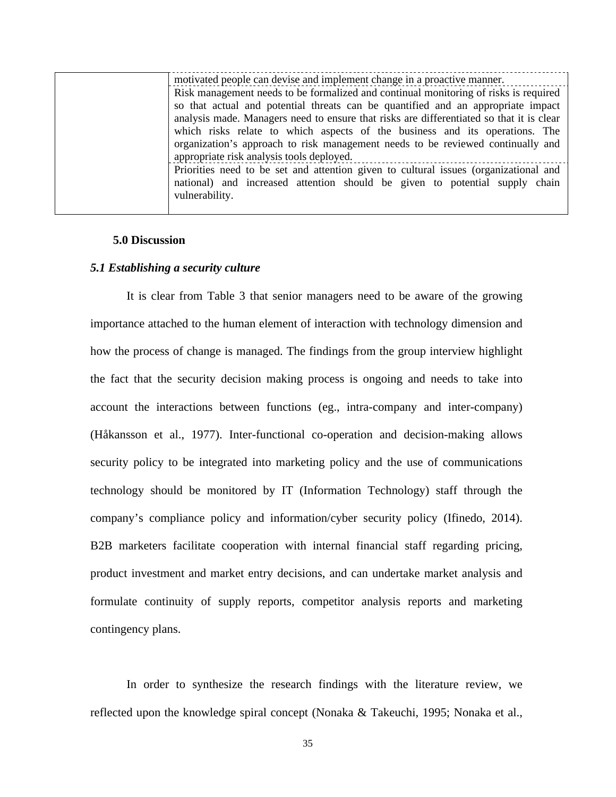| motivated people can devise and implement change in a proactive manner.                  |
|------------------------------------------------------------------------------------------|
| Risk management needs to be formalized and continual monitoring of risks is required     |
| so that actual and potential threats can be quantified and an appropriate impact         |
| analysis made. Managers need to ensure that risks are differentiated so that it is clear |
| which risks relate to which aspects of the business and its operations. The              |
| organization's approach to risk management needs to be reviewed continually and          |
| appropriate risk analysis tools deployed.                                                |
| Priorities need to be set and attention given to cultural issues (organizational and     |
| national) and increased attention should be given to potential supply chain              |
| vulnerability.                                                                           |
|                                                                                          |

#### **5.0 Discussion**

#### *5.1 Establishing a security culture*

It is clear from Table 3 that senior managers need to be aware of the growing importance attached to the human element of interaction with technology dimension and how the process of change is managed. The findings from the group interview highlight the fact that the security decision making process is ongoing and needs to take into account the interactions between functions (eg., intra-company and inter-company) (Håkansson et al., 1977). Inter-functional co-operation and decision-making allows security policy to be integrated into marketing policy and the use of communications technology should be monitored by IT (Information Technology) staff through the company's compliance policy and information/cyber security policy (Ifinedo, 2014). B2B marketers facilitate cooperation with internal financial staff regarding pricing, product investment and market entry decisions, and can undertake market analysis and formulate continuity of supply reports, competitor analysis reports and marketing contingency plans.

In order to synthesize the research findings with the literature review, we reflected upon the knowledge spiral concept (Nonaka & Takeuchi, 1995; Nonaka et al.,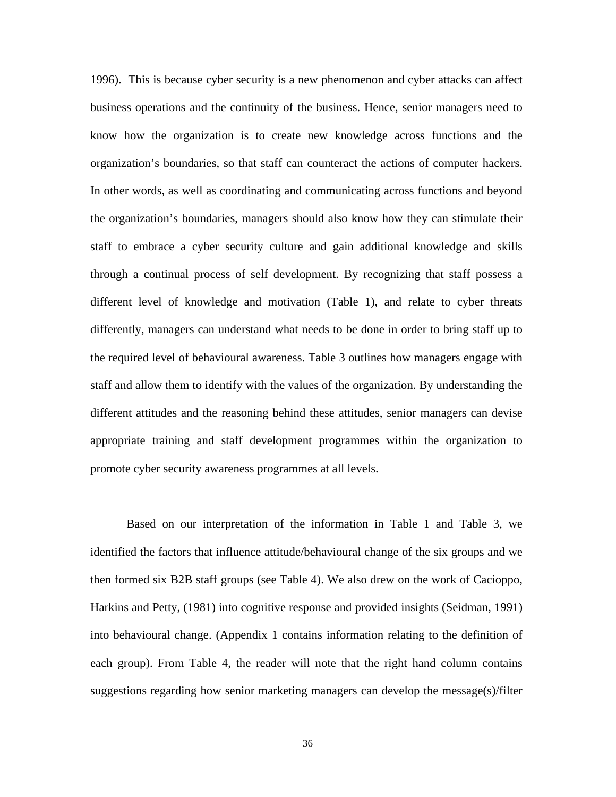1996). This is because cyber security is a new phenomenon and cyber attacks can affect business operations and the continuity of the business. Hence, senior managers need to know how the organization is to create new knowledge across functions and the organization's boundaries, so that staff can counteract the actions of computer hackers. In other words, as well as coordinating and communicating across functions and beyond the organization's boundaries, managers should also know how they can stimulate their staff to embrace a cyber security culture and gain additional knowledge and skills through a continual process of self development. By recognizing that staff possess a different level of knowledge and motivation (Table 1), and relate to cyber threats differently, managers can understand what needs to be done in order to bring staff up to the required level of behavioural awareness. Table 3 outlines how managers engage with staff and allow them to identify with the values of the organization. By understanding the different attitudes and the reasoning behind these attitudes, senior managers can devise appropriate training and staff development programmes within the organization to promote cyber security awareness programmes at all levels.

Based on our interpretation of the information in Table 1 and Table 3, we identified the factors that influence attitude/behavioural change of the six groups and we then formed six B2B staff groups (see Table 4). We also drew on the work of Cacioppo, Harkins and Petty, (1981) into cognitive response and provided insights (Seidman, 1991) into behavioural change. (Appendix 1 contains information relating to the definition of each group). From Table 4, the reader will note that the right hand column contains suggestions regarding how senior marketing managers can develop the message(s)/filter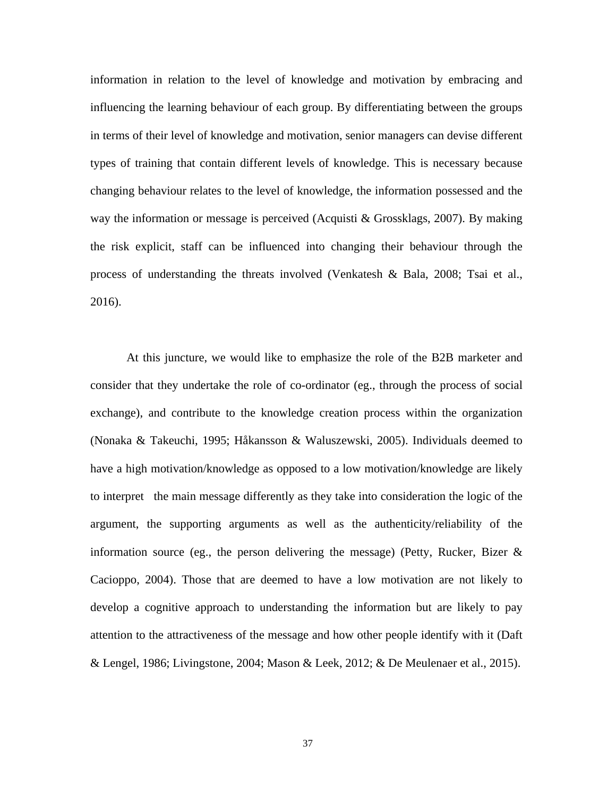information in relation to the level of knowledge and motivation by embracing and influencing the learning behaviour of each group. By differentiating between the groups in terms of their level of knowledge and motivation, senior managers can devise different types of training that contain different levels of knowledge. This is necessary because changing behaviour relates to the level of knowledge, the information possessed and the way the information or message is perceived (Acquisti & Grossklags, 2007). By making the risk explicit, staff can be influenced into changing their behaviour through the process of understanding the threats involved (Venkatesh & Bala, 2008; Tsai et al., 2016).

At this juncture, we would like to emphasize the role of the B2B marketer and consider that they undertake the role of co-ordinator (eg., through the process of social exchange), and contribute to the knowledge creation process within the organization (Nonaka & Takeuchi, 1995; Håkansson & Waluszewski, 2005). Individuals deemed to have a high motivation/knowledge as opposed to a low motivation/knowledge are likely to interpret the main message differently as they take into consideration the logic of the argument, the supporting arguments as well as the authenticity/reliability of the information source (eg., the person delivering the message) (Petty, Rucker, Bizer & Cacioppo, 2004). Those that are deemed to have a low motivation are not likely to develop a cognitive approach to understanding the information but are likely to pay attention to the attractiveness of the message and how other people identify with it (Daft & Lengel, 1986; Livingstone, 2004; Mason & Leek, 2012; & De Meulenaer et al., 2015).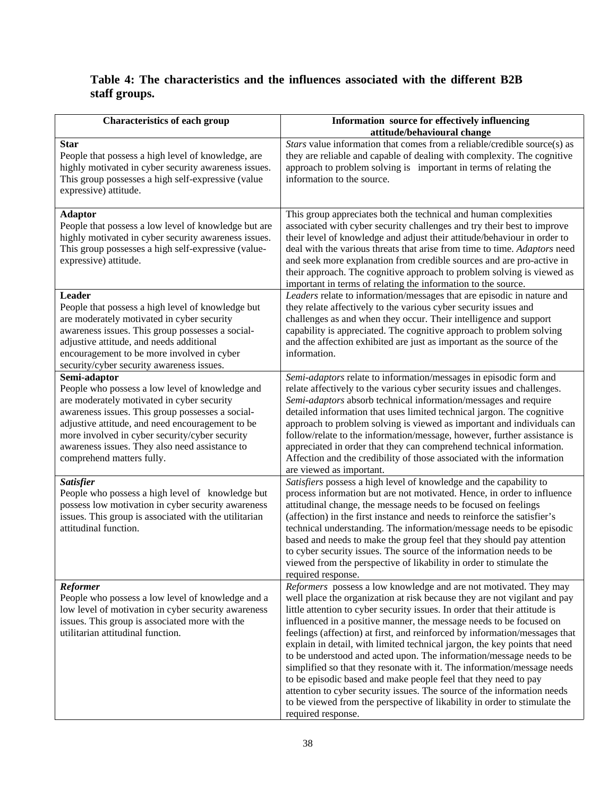# **Table 4: The characteristics and the influences associated with the different B2B staff groups.**

| <b>Characteristics of each group</b>                                                                                                                                                                                                                                                                                                                   | Information source for effectively influencing<br>attitude/behavioural change                                                                                                                                                                                                                                                                                                                                                                                                                                                                                                                                                                                                                                                                                                                                                                                       |
|--------------------------------------------------------------------------------------------------------------------------------------------------------------------------------------------------------------------------------------------------------------------------------------------------------------------------------------------------------|---------------------------------------------------------------------------------------------------------------------------------------------------------------------------------------------------------------------------------------------------------------------------------------------------------------------------------------------------------------------------------------------------------------------------------------------------------------------------------------------------------------------------------------------------------------------------------------------------------------------------------------------------------------------------------------------------------------------------------------------------------------------------------------------------------------------------------------------------------------------|
| <b>Star</b><br>People that possess a high level of knowledge, are<br>highly motivated in cyber security awareness issues.<br>This group possesses a high self-expressive (value<br>expressive) attitude.                                                                                                                                               | Stars value information that comes from a reliable/credible source(s) as<br>they are reliable and capable of dealing with complexity. The cognitive<br>approach to problem solving is important in terms of relating the<br>information to the source.                                                                                                                                                                                                                                                                                                                                                                                                                                                                                                                                                                                                              |
| <b>Adaptor</b><br>People that possess a low level of knowledge but are<br>highly motivated in cyber security awareness issues.<br>This group possesses a high self-expressive (value-<br>expressive) attitude.                                                                                                                                         | This group appreciates both the technical and human complexities<br>associated with cyber security challenges and try their best to improve<br>their level of knowledge and adjust their attitude/behaviour in order to<br>deal with the various threats that arise from time to time. Adaptors need<br>and seek more explanation from credible sources and are pro-active in<br>their approach. The cognitive approach to problem solving is viewed as<br>important in terms of relating the information to the source.                                                                                                                                                                                                                                                                                                                                            |
| Leader<br>People that possess a high level of knowledge but<br>are moderately motivated in cyber security<br>awareness issues. This group possesses a social-<br>adjustive attitude, and needs additional<br>encouragement to be more involved in cyber<br>security/cyber security awareness issues.                                                   | Leaders relate to information/messages that are episodic in nature and<br>they relate affectively to the various cyber security issues and<br>challenges as and when they occur. Their intelligence and support<br>capability is appreciated. The cognitive approach to problem solving<br>and the affection exhibited are just as important as the source of the<br>information.                                                                                                                                                                                                                                                                                                                                                                                                                                                                                   |
| Semi-adaptor<br>People who possess a low level of knowledge and<br>are moderately motivated in cyber security<br>awareness issues. This group possesses a social-<br>adjustive attitude, and need encouragement to be<br>more involved in cyber security/cyber security<br>awareness issues. They also need assistance to<br>comprehend matters fully. | Semi-adaptors relate to information/messages in episodic form and<br>relate affectively to the various cyber security issues and challenges.<br>Semi-adaptors absorb technical information/messages and require<br>detailed information that uses limited technical jargon. The cognitive<br>approach to problem solving is viewed as important and individuals can<br>follow/relate to the information/message, however, further assistance is<br>appreciated in order that they can comprehend technical information.<br>Affection and the credibility of those associated with the information<br>are viewed as important.                                                                                                                                                                                                                                       |
| <b>Satisfier</b><br>People who possess a high level of knowledge but<br>possess low motivation in cyber security awareness<br>issues. This group is associated with the utilitarian<br>attitudinal function.                                                                                                                                           | Satisfiers possess a high level of knowledge and the capability to<br>process information but are not motivated. Hence, in order to influence<br>attitudinal change, the message needs to be focused on feelings<br>(affection) in the first instance and needs to reinforce the satisfier's<br>technical understanding. The information/message needs to be episodic<br>based and needs to make the group feel that they should pay attention<br>to cyber security issues. The source of the information needs to be<br>viewed from the perspective of likability in order to stimulate the<br>required response.                                                                                                                                                                                                                                                  |
| <b>Reformer</b><br>People who possess a low level of knowledge and a<br>low level of motivation in cyber security awareness<br>issues. This group is associated more with the<br>utilitarian attitudinal function.                                                                                                                                     | Reformers possess a low knowledge and are not motivated. They may<br>well place the organization at risk because they are not vigilant and pay<br>little attention to cyber security issues. In order that their attitude is<br>influenced in a positive manner, the message needs to be focused on<br>feelings (affection) at first, and reinforced by information/messages that<br>explain in detail, with limited technical jargon, the key points that need<br>to be understood and acted upon. The information/message needs to be<br>simplified so that they resonate with it. The information/message needs<br>to be episodic based and make people feel that they need to pay<br>attention to cyber security issues. The source of the information needs<br>to be viewed from the perspective of likability in order to stimulate the<br>required response. |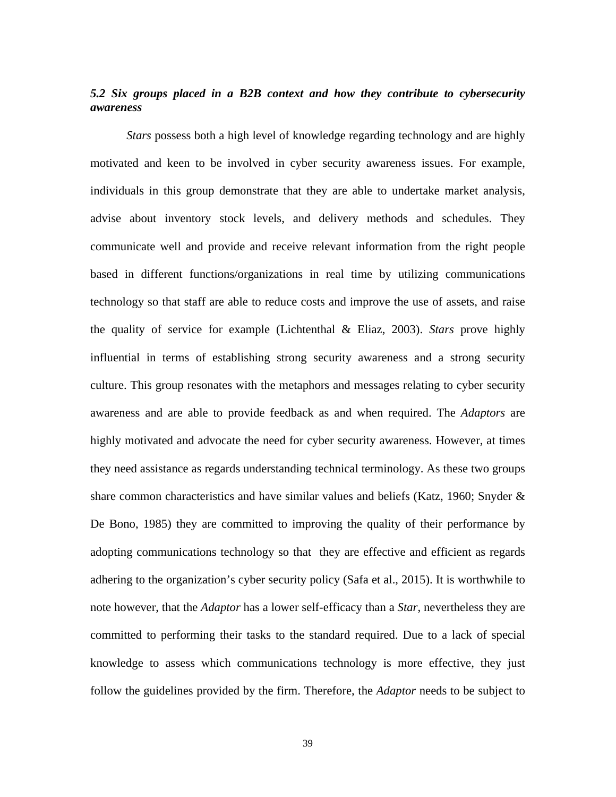## *5.2 Six groups placed in a B2B context and how they contribute to cybersecurity awareness*

*Stars* possess both a high level of knowledge regarding technology and are highly motivated and keen to be involved in cyber security awareness issues. For example, individuals in this group demonstrate that they are able to undertake market analysis, advise about inventory stock levels, and delivery methods and schedules. They communicate well and provide and receive relevant information from the right people based in different functions/organizations in real time by utilizing communications technology so that staff are able to reduce costs and improve the use of assets, and raise the quality of service for example (Lichtenthal & Eliaz, 2003). *Stars* prove highly influential in terms of establishing strong security awareness and a strong security culture. This group resonates with the metaphors and messages relating to cyber security awareness and are able to provide feedback as and when required. The *Adaptors* are highly motivated and advocate the need for cyber security awareness. However, at times they need assistance as regards understanding technical terminology. As these two groups share common characteristics and have similar values and beliefs (Katz, 1960; Snyder & De Bono, 1985) they are committed to improving the quality of their performance by adopting communications technology so that they are effective and efficient as regards adhering to the organization's cyber security policy (Safa et al., 2015). It is worthwhile to note however, that the *Adaptor* has a lower self-efficacy than a *Star*, nevertheless they are committed to performing their tasks to the standard required. Due to a lack of special knowledge to assess which communications technology is more effective, they just follow the guidelines provided by the firm. Therefore, the *Adaptor* needs to be subject to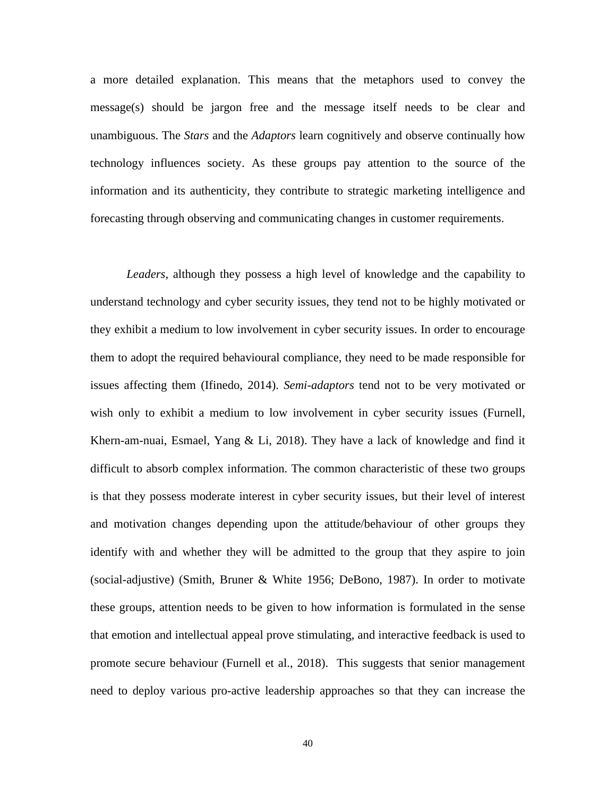a more detailed explanation. This means that the metaphors used to convey the message(s) should be jargon free and the message itself needs to be clear and unambiguous. The *Stars* and the *Adaptors* learn cognitively and observe continually how technology influences society. As these groups pay attention to the source of the information and its authenticity, they contribute to strategic marketing intelligence and forecasting through observing and communicating changes in customer requirements.

*Leaders,* although they possess a high level of knowledge and the capability to understand technology and cyber security issues, they tend not to be highly motivated or they exhibit a medium to low involvement in cyber security issues. In order to encourage them to adopt the required behavioural compliance, they need to be made responsible for issues affecting them (Ifinedo, 2014). *Semi-adaptors* tend not to be very motivated or wish only to exhibit a medium to low involvement in cyber security issues (Furnell, Khern-am-nuai, Esmael, Yang & Li, 2018). They have a lack of knowledge and find it difficult to absorb complex information. The common characteristic of these two groups is that they possess moderate interest in cyber security issues, but their level of interest and motivation changes depending upon the attitude/behaviour of other groups they identify with and whether they will be admitted to the group that they aspire to join (social-adjustive) (Smith, Bruner & White 1956; DeBono, 1987). In order to motivate these groups, attention needs to be given to how information is formulated in the sense that emotion and intellectual appeal prove stimulating, and interactive feedback is used to promote secure behaviour (Furnell et al., 2018). This suggests that senior management need to deploy various pro-active leadership approaches so that they can increase the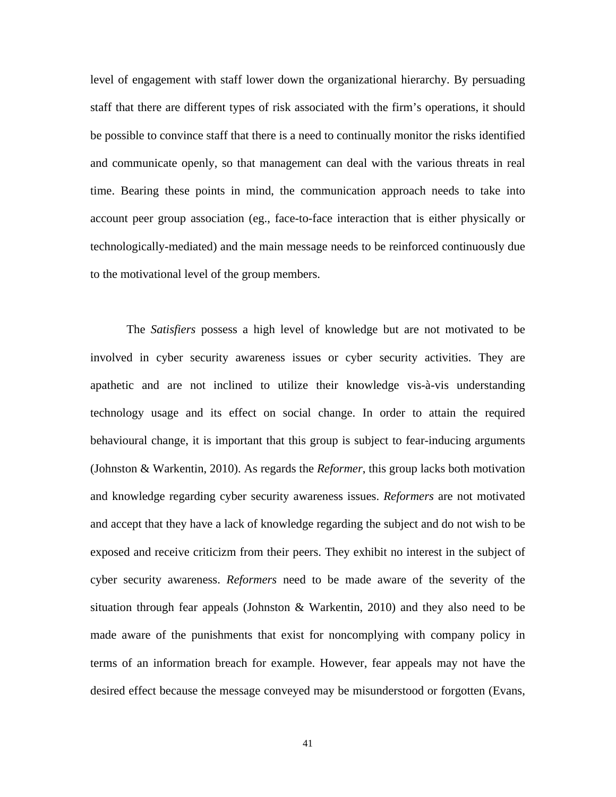level of engagement with staff lower down the organizational hierarchy. By persuading staff that there are different types of risk associated with the firm's operations, it should be possible to convince staff that there is a need to continually monitor the risks identified and communicate openly, so that management can deal with the various threats in real time. Bearing these points in mind, the communication approach needs to take into account peer group association (eg., face-to-face interaction that is either physically or technologically-mediated) and the main message needs to be reinforced continuously due to the motivational level of the group members.

The *Satisfiers* possess a high level of knowledge but are not motivated to be involved in cyber security awareness issues or cyber security activities. They are apathetic and are not inclined to utilize their knowledge vis-à-vis understanding technology usage and its effect on social change. In order to attain the required behavioural change, it is important that this group is subject to fear-inducing arguments (Johnston & Warkentin, 2010). As regards the *Reformer*, this group lacks both motivation and knowledge regarding cyber security awareness issues. *Reformers* are not motivated and accept that they have a lack of knowledge regarding the subject and do not wish to be exposed and receive criticizm from their peers. They exhibit no interest in the subject of cyber security awareness. *Reformers* need to be made aware of the severity of the situation through fear appeals (Johnston & Warkentin, 2010) and they also need to be made aware of the punishments that exist for noncomplying with company policy in terms of an information breach for example. However, fear appeals may not have the desired effect because the message conveyed may be misunderstood or forgotten (Evans,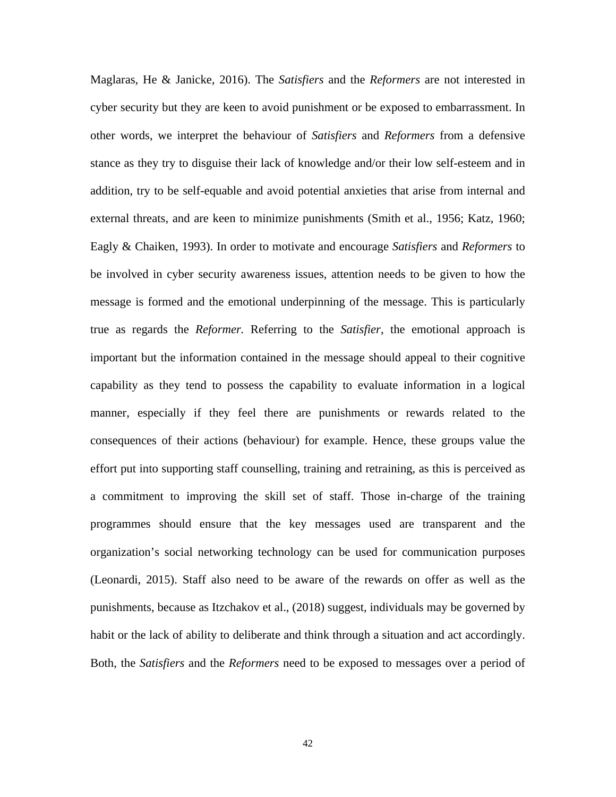Maglaras, He & Janicke, 2016). The *Satisfiers* and the *Reformers* are not interested in cyber security but they are keen to avoid punishment or be exposed to embarrassment. In other words, we interpret the behaviour of *Satisfiers* and *Reformers* from a defensive stance as they try to disguise their lack of knowledge and/or their low self-esteem and in addition, try to be self-equable and avoid potential anxieties that arise from internal and external threats, and are keen to minimize punishments (Smith et al., 1956; Katz, 1960; Eagly & Chaiken, 1993). In order to motivate and encourage *Satisfiers* and *Reformers* to be involved in cyber security awareness issues, attention needs to be given to how the message is formed and the emotional underpinning of the message. This is particularly true as regards the *Reformer.* Referring to the *Satisfier*, the emotional approach is important but the information contained in the message should appeal to their cognitive capability as they tend to possess the capability to evaluate information in a logical manner, especially if they feel there are punishments or rewards related to the consequences of their actions (behaviour) for example. Hence, these groups value the effort put into supporting staff counselling, training and retraining, as this is perceived as a commitment to improving the skill set of staff. Those in-charge of the training programmes should ensure that the key messages used are transparent and the organization's social networking technology can be used for communication purposes (Leonardi, 2015). Staff also need to be aware of the rewards on offer as well as the punishments, because as Itzchakov et al., (2018) suggest, individuals may be governed by habit or the lack of ability to deliberate and think through a situation and act accordingly. Both, the *Satisfiers* and the *Reformers* need to be exposed to messages over a period of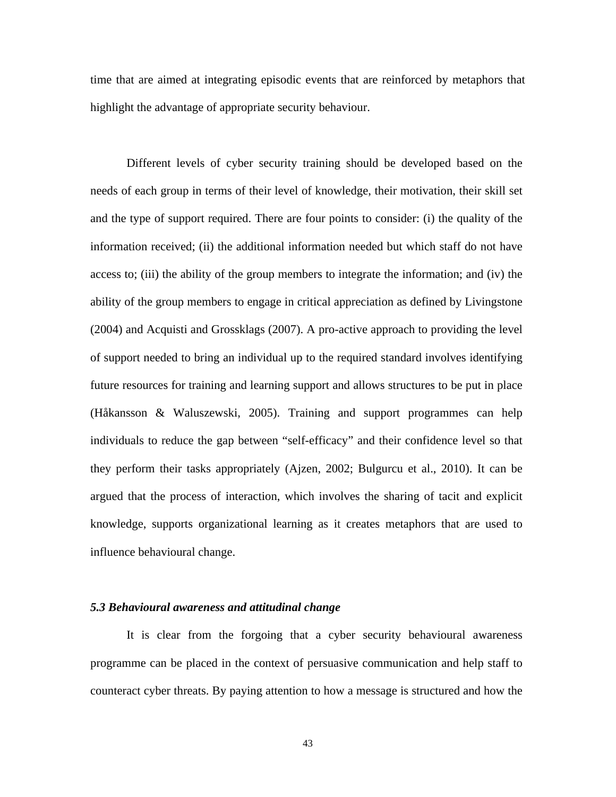time that are aimed at integrating episodic events that are reinforced by metaphors that highlight the advantage of appropriate security behaviour.

Different levels of cyber security training should be developed based on the needs of each group in terms of their level of knowledge, their motivation, their skill set and the type of support required. There are four points to consider: (i) the quality of the information received; (ii) the additional information needed but which staff do not have access to; (iii) the ability of the group members to integrate the information; and (iv) the ability of the group members to engage in critical appreciation as defined by Livingstone (2004) and Acquisti and Grossklags (2007). A pro-active approach to providing the level of support needed to bring an individual up to the required standard involves identifying future resources for training and learning support and allows structures to be put in place (Håkansson & Waluszewski, 2005). Training and support programmes can help individuals to reduce the gap between "self-efficacy" and their confidence level so that they perform their tasks appropriately (Ajzen, 2002; Bulgurcu et al., 2010). It can be argued that the process of interaction, which involves the sharing of tacit and explicit knowledge, supports organizational learning as it creates metaphors that are used to influence behavioural change.

### *5.3 Behavioural awareness and attitudinal change*

It is clear from the forgoing that a cyber security behavioural awareness programme can be placed in the context of persuasive communication and help staff to counteract cyber threats. By paying attention to how a message is structured and how the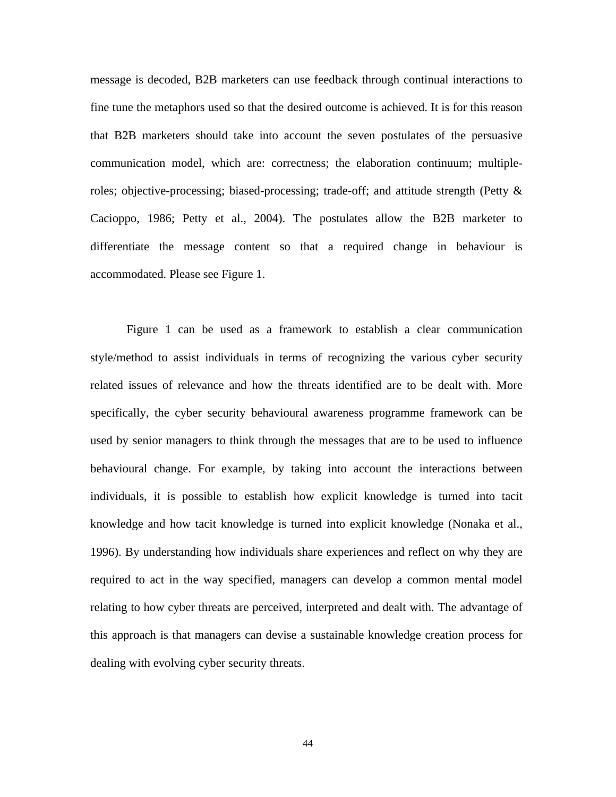message is decoded, B2B marketers can use feedback through continual interactions to fine tune the metaphors used so that the desired outcome is achieved. It is for this reason that B2B marketers should take into account the seven postulates of the persuasive communication model, which are: correctness; the elaboration continuum; multipleroles; objective-processing; biased-processing; trade-off; and attitude strength (Petty & Cacioppo, 1986; Petty et al., 2004). The postulates allow the B2B marketer to differentiate the message content so that a required change in behaviour is accommodated. Please see Figure 1.

Figure 1 can be used as a framework to establish a clear communication style/method to assist individuals in terms of recognizing the various cyber security related issues of relevance and how the threats identified are to be dealt with. More specifically, the cyber security behavioural awareness programme framework can be used by senior managers to think through the messages that are to be used to influence behavioural change. For example, by taking into account the interactions between individuals, it is possible to establish how explicit knowledge is turned into tacit knowledge and how tacit knowledge is turned into explicit knowledge (Nonaka et al., 1996). By understanding how individuals share experiences and reflect on why they are required to act in the way specified, managers can develop a common mental model relating to how cyber threats are perceived, interpreted and dealt with. The advantage of this approach is that managers can devise a sustainable knowledge creation process for dealing with evolving cyber security threats.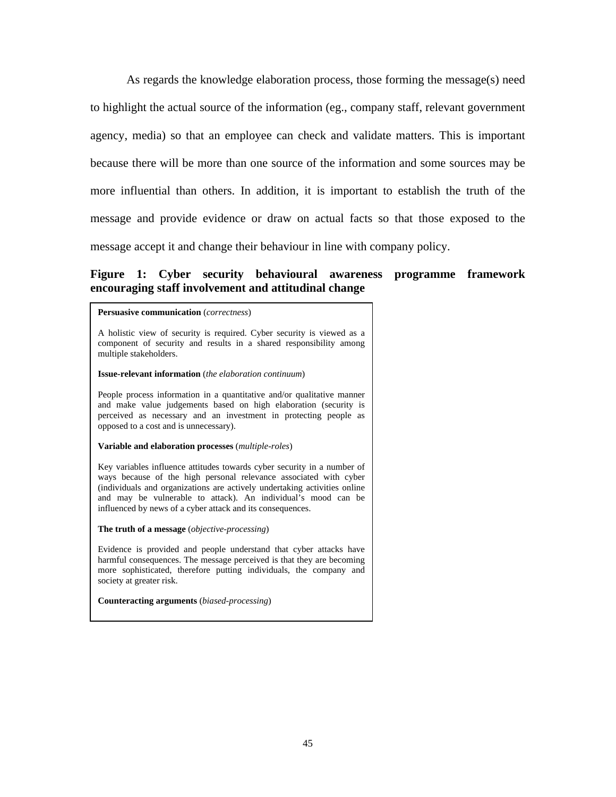As regards the knowledge elaboration process, those forming the message(s) need to highlight the actual source of the information (eg., company staff, relevant government agency, media) so that an employee can check and validate matters. This is important because there will be more than one source of the information and some sources may be more influential than others. In addition, it is important to establish the truth of the message and provide evidence or draw on actual facts so that those exposed to the message accept it and change their behaviour in line with company policy.

## **Figure 1: Cyber security behavioural awareness programme framework encouraging staff involvement and attitudinal change**

#### **Persuasive communication** (*correctness*)

A holistic view of security is required. Cyber security is viewed as a component of security and results in a shared responsibility among multiple stakeholders.

#### **Issue-relevant information** (*the elaboration continuum*)

People process information in a quantitative and/or qualitative manner and make value judgements based on high elaboration (security is perceived as necessary and an investment in protecting people as opposed to a cost and is unnecessary).

#### **Variable and elaboration processes** (*multiple-roles*)

Key variables influence attitudes towards cyber security in a number of ways because of the high personal relevance associated with cyber (individuals and organizations are actively undertaking activities online and may be vulnerable to attack). An individual's mood can be influenced by news of a cyber attack and its consequences.

**The truth of a message** (*objective-processing*)

Evidence is provided and people understand that cyber attacks have harmful consequences. The message perceived is that they are becoming more sophisticated, therefore putting individuals, the company and society at greater risk.

It is likely that arguments will be put for  $\alpha$  suggesting that society is society is society in  $\alpha$ 

**Counteracting arguments** (*biased-processing*)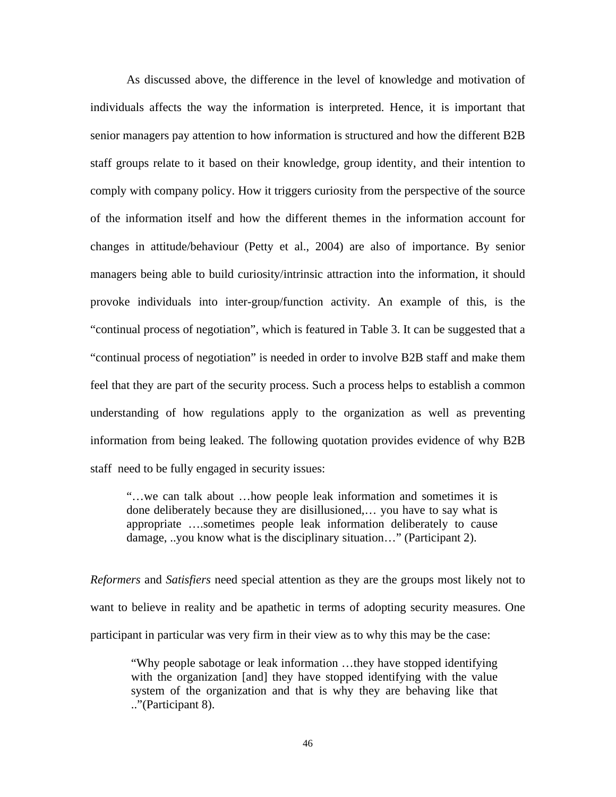As discussed above, the difference in the level of knowledge and motivation of individuals affects the way the information is interpreted. Hence, it is important that senior managers pay attention to how information is structured and how the different B2B staff groups relate to it based on their knowledge, group identity, and their intention to comply with company policy. How it triggers curiosity from the perspective of the source of the information itself and how the different themes in the information account for changes in attitude/behaviour (Petty et al., 2004) are also of importance. By senior managers being able to build curiosity/intrinsic attraction into the information, it should provoke individuals into inter-group/function activity. An example of this, is the "continual process of negotiation", which is featured in Table 3. It can be suggested that a "continual process of negotiation" is needed in order to involve B2B staff and make them feel that they are part of the security process. Such a process helps to establish a common understanding of how regulations apply to the organization as well as preventing information from being leaked. The following quotation provides evidence of why B2B staff need to be fully engaged in security issues:

"…we can talk about …how people leak information and sometimes it is done deliberately because they are disillusioned,… you have to say what is appropriate ….sometimes people leak information deliberately to cause damage, ..you know what is the disciplinary situation…" (Participant 2).

*Reformers* and *Satisfiers* need special attention as they are the groups most likely not to want to believe in reality and be apathetic in terms of adopting security measures. One participant in particular was very firm in their view as to why this may be the case:

"Why people sabotage or leak information …they have stopped identifying with the organization [and] they have stopped identifying with the value system of the organization and that is why they are behaving like that .."(Participant 8).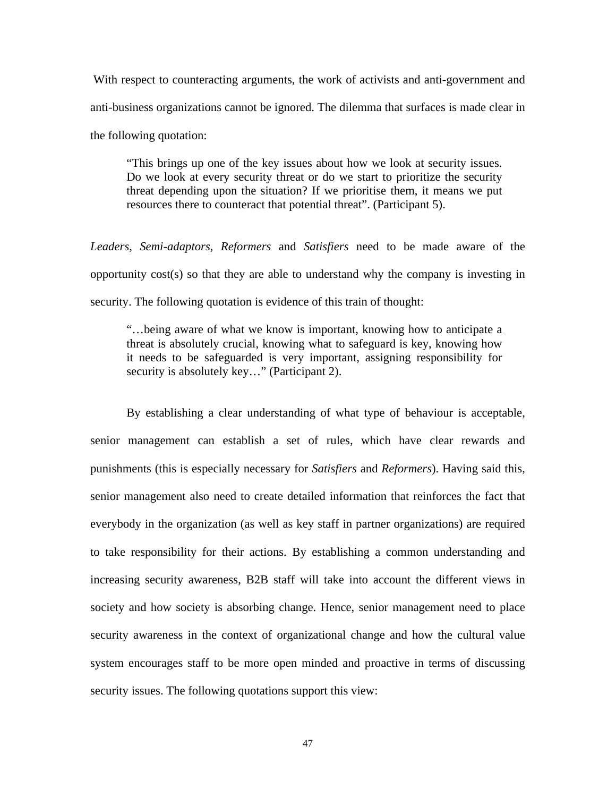With respect to counteracting arguments, the work of activists and anti-government and anti-business organizations cannot be ignored. The dilemma that surfaces is made clear in the following quotation:

"This brings up one of the key issues about how we look at security issues. Do we look at every security threat or do we start to prioritize the security threat depending upon the situation? If we prioritise them, it means we put resources there to counteract that potential threat". (Participant 5).

*Leaders, Semi-adaptors, Reformers* and *Satisfiers* need to be made aware of the opportunity cost(s) so that they are able to understand why the company is investing in security. The following quotation is evidence of this train of thought:

"…being aware of what we know is important, knowing how to anticipate a threat is absolutely crucial, knowing what to safeguard is key, knowing how it needs to be safeguarded is very important, assigning responsibility for security is absolutely key..." (Participant 2).

By establishing a clear understanding of what type of behaviour is acceptable, senior management can establish a set of rules, which have clear rewards and punishments (this is especially necessary for *Satisfiers* and *Reformers*). Having said this, senior management also need to create detailed information that reinforces the fact that everybody in the organization (as well as key staff in partner organizations) are required to take responsibility for their actions. By establishing a common understanding and increasing security awareness, B2B staff will take into account the different views in society and how society is absorbing change. Hence, senior management need to place security awareness in the context of organizational change and how the cultural value system encourages staff to be more open minded and proactive in terms of discussing security issues. The following quotations support this view: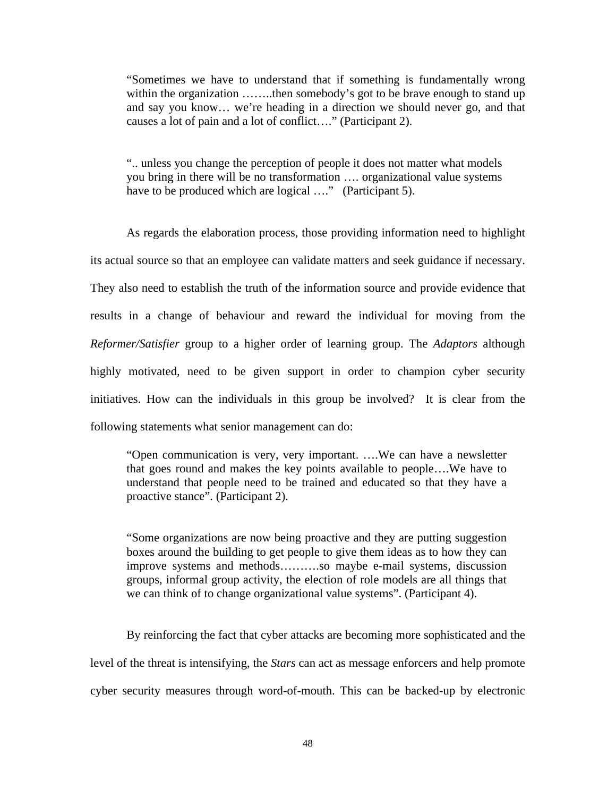"Sometimes we have to understand that if something is fundamentally wrong within the organization ……..then somebody's got to be brave enough to stand up and say you know… we're heading in a direction we should never go, and that causes a lot of pain and a lot of conflict…." (Participant 2).

".. unless you change the perception of people it does not matter what models you bring in there will be no transformation …. organizational value systems have to be produced which are logical …." (Participant 5).

As regards the elaboration process, those providing information need to highlight its actual source so that an employee can validate matters and seek guidance if necessary. They also need to establish the truth of the information source and provide evidence that results in a change of behaviour and reward the individual for moving from the *Reformer/Satisfier* group to a higher order of learning group. The *Adaptors* although highly motivated, need to be given support in order to champion cyber security initiatives. How can the individuals in this group be involved? It is clear from the following statements what senior management can do:

"Open communication is very, very important. ….We can have a newsletter that goes round and makes the key points available to people….We have to understand that people need to be trained and educated so that they have a proactive stance". (Participant 2).

"Some organizations are now being proactive and they are putting suggestion boxes around the building to get people to give them ideas as to how they can improve systems and methods……….so maybe e-mail systems, discussion groups, informal group activity, the election of role models are all things that we can think of to change organizational value systems". (Participant 4).

By reinforcing the fact that cyber attacks are becoming more sophisticated and the level of the threat is intensifying, the *Stars* can act as message enforcers and help promote cyber security measures through word-of-mouth. This can be backed-up by electronic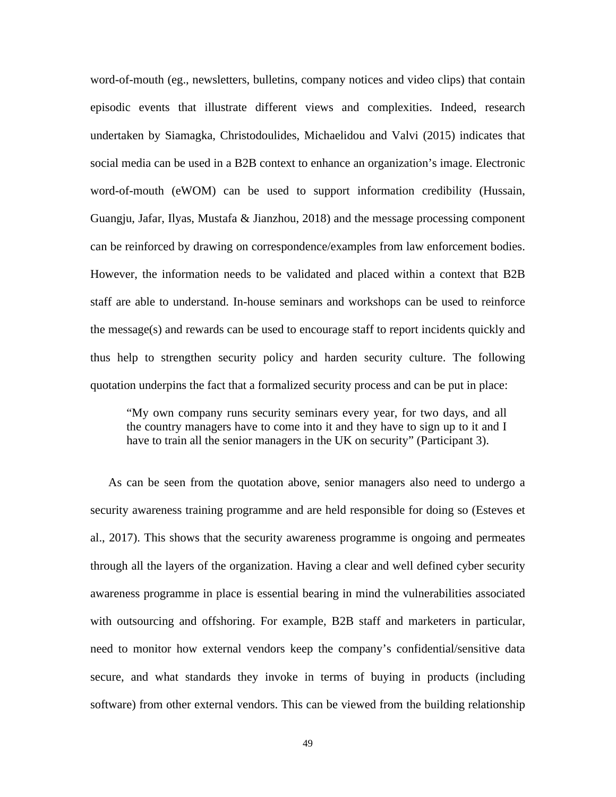word-of-mouth (eg., newsletters, bulletins, company notices and video clips) that contain episodic events that illustrate different views and complexities. Indeed, research undertaken by Siamagka, Christodoulides, Michaelidou and Valvi (2015) indicates that social media can be used in a B2B context to enhance an organization's image. Electronic word-of-mouth (eWOM) can be used to support information credibility (Hussain, Guangju, Jafar, Ilyas, Mustafa & Jianzhou, 2018) and the message processing component can be reinforced by drawing on correspondence/examples from law enforcement bodies. However, the information needs to be validated and placed within a context that B2B staff are able to understand. In-house seminars and workshops can be used to reinforce the message(s) and rewards can be used to encourage staff to report incidents quickly and thus help to strengthen security policy and harden security culture. The following quotation underpins the fact that a formalized security process and can be put in place:

"My own company runs security seminars every year, for two days, and all the country managers have to come into it and they have to sign up to it and I have to train all the senior managers in the UK on security" (Participant 3).

As can be seen from the quotation above, senior managers also need to undergo a security awareness training programme and are held responsible for doing so (Esteves et al., 2017). This shows that the security awareness programme is ongoing and permeates through all the layers of the organization. Having a clear and well defined cyber security awareness programme in place is essential bearing in mind the vulnerabilities associated with outsourcing and offshoring. For example, B2B staff and marketers in particular, need to monitor how external vendors keep the company's confidential/sensitive data secure, and what standards they invoke in terms of buying in products (including software) from other external vendors. This can be viewed from the building relationship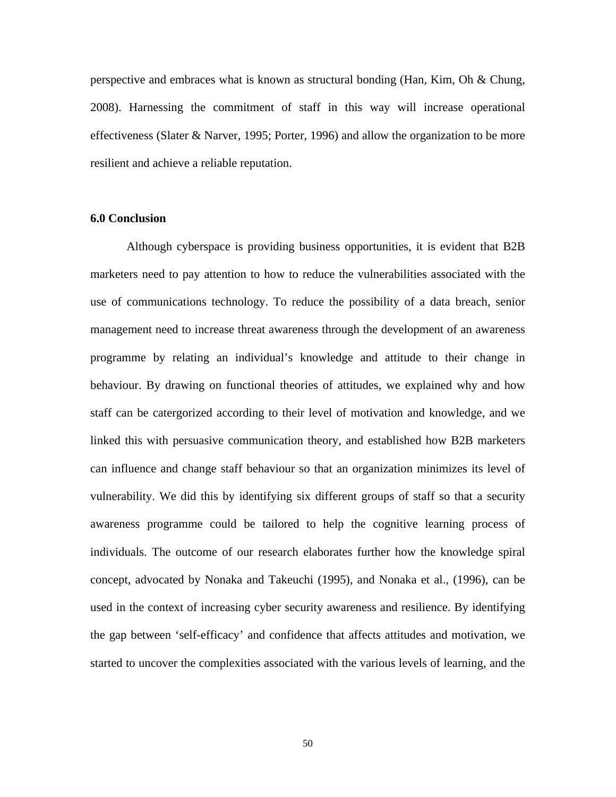perspective and embraces what is known as structural bonding (Han, Kim, Oh & Chung, 2008). Harnessing the commitment of staff in this way will increase operational effectiveness (Slater & Narver, 1995; Porter, 1996) and allow the organization to be more resilient and achieve a reliable reputation.

## **6.0 Conclusion**

Although cyberspace is providing business opportunities, it is evident that B2B marketers need to pay attention to how to reduce the vulnerabilities associated with the use of communications technology. To reduce the possibility of a data breach, senior management need to increase threat awareness through the development of an awareness programme by relating an individual's knowledge and attitude to their change in behaviour. By drawing on functional theories of attitudes, we explained why and how staff can be catergorized according to their level of motivation and knowledge, and we linked this with persuasive communication theory, and established how B2B marketers can influence and change staff behaviour so that an organization minimizes its level of vulnerability. We did this by identifying six different groups of staff so that a security awareness programme could be tailored to help the cognitive learning process of individuals. The outcome of our research elaborates further how the knowledge spiral concept, advocated by Nonaka and Takeuchi (1995), and Nonaka et al., (1996), can be used in the context of increasing cyber security awareness and resilience. By identifying the gap between 'self-efficacy' and confidence that affects attitudes and motivation, we started to uncover the complexities associated with the various levels of learning, and the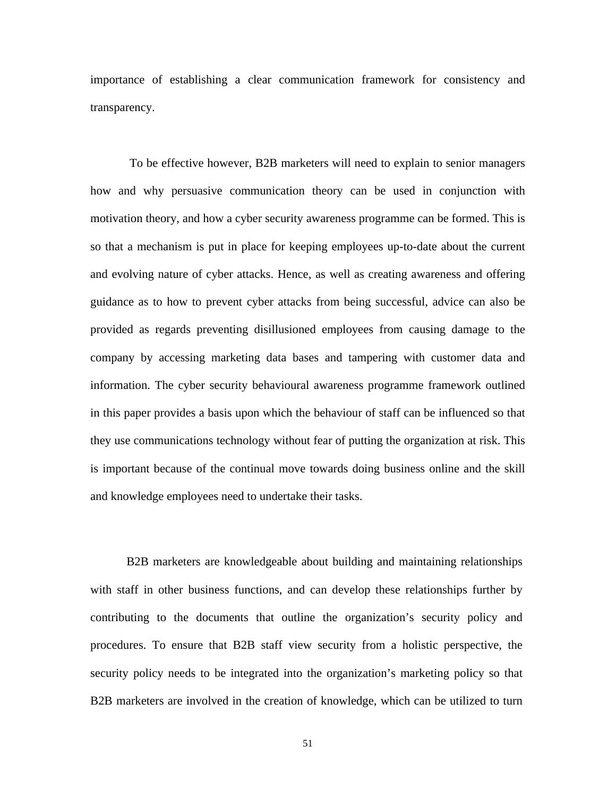importance of establishing a clear communication framework for consistency and transparency.

 To be effective however, B2B marketers will need to explain to senior managers how and why persuasive communication theory can be used in conjunction with motivation theory, and how a cyber security awareness programme can be formed. This is so that a mechanism is put in place for keeping employees up-to-date about the current and evolving nature of cyber attacks. Hence, as well as creating awareness and offering guidance as to how to prevent cyber attacks from being successful, advice can also be provided as regards preventing disillusioned employees from causing damage to the company by accessing marketing data bases and tampering with customer data and information. The cyber security behavioural awareness programme framework outlined in this paper provides a basis upon which the behaviour of staff can be influenced so that they use communications technology without fear of putting the organization at risk. This is important because of the continual move towards doing business online and the skill and knowledge employees need to undertake their tasks.

B2B marketers are knowledgeable about building and maintaining relationships with staff in other business functions, and can develop these relationships further by contributing to the documents that outline the organization's security policy and procedures. To ensure that B2B staff view security from a holistic perspective, the security policy needs to be integrated into the organization's marketing policy so that B2B marketers are involved in the creation of knowledge, which can be utilized to turn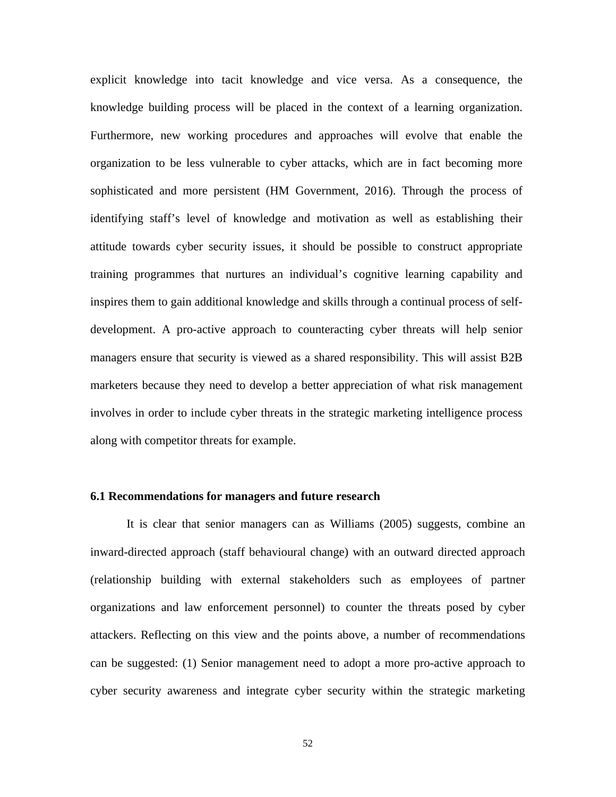explicit knowledge into tacit knowledge and vice versa. As a consequence, the knowledge building process will be placed in the context of a learning organization. Furthermore, new working procedures and approaches will evolve that enable the organization to be less vulnerable to cyber attacks, which are in fact becoming more sophisticated and more persistent (HM Government, 2016). Through the process of identifying staff's level of knowledge and motivation as well as establishing their attitude towards cyber security issues, it should be possible to construct appropriate training programmes that nurtures an individual's cognitive learning capability and inspires them to gain additional knowledge and skills through a continual process of selfdevelopment. A pro-active approach to counteracting cyber threats will help senior managers ensure that security is viewed as a shared responsibility. This will assist B2B marketers because they need to develop a better appreciation of what risk management involves in order to include cyber threats in the strategic marketing intelligence process along with competitor threats for example.

#### **6.1 Recommendations for managers and future research**

It is clear that senior managers can as Williams (2005) suggests, combine an inward-directed approach (staff behavioural change) with an outward directed approach (relationship building with external stakeholders such as employees of partner organizations and law enforcement personnel) to counter the threats posed by cyber attackers. Reflecting on this view and the points above, a number of recommendations can be suggested: (1) Senior management need to adopt a more pro-active approach to cyber security awareness and integrate cyber security within the strategic marketing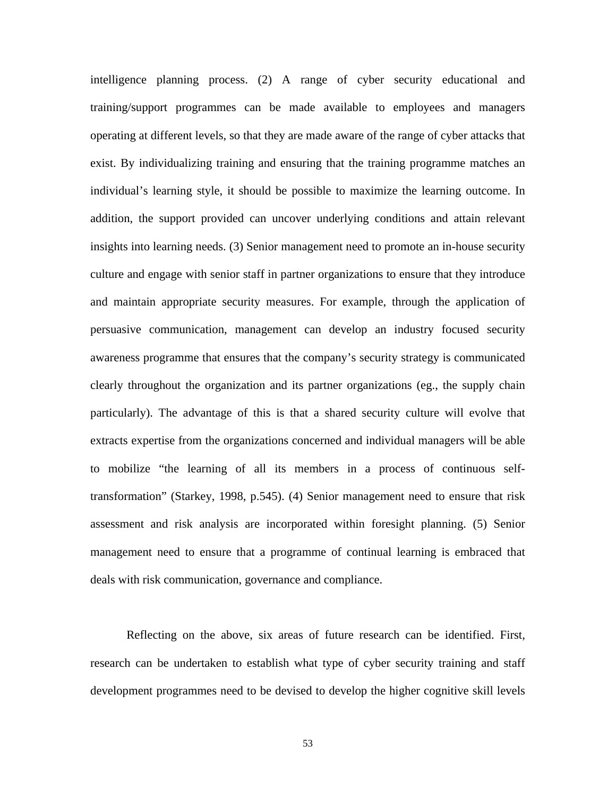intelligence planning process. (2) A range of cyber security educational and training/support programmes can be made available to employees and managers operating at different levels, so that they are made aware of the range of cyber attacks that exist. By individualizing training and ensuring that the training programme matches an individual's learning style, it should be possible to maximize the learning outcome. In addition, the support provided can uncover underlying conditions and attain relevant insights into learning needs. (3) Senior management need to promote an in-house security culture and engage with senior staff in partner organizations to ensure that they introduce and maintain appropriate security measures. For example, through the application of persuasive communication, management can develop an industry focused security awareness programme that ensures that the company's security strategy is communicated clearly throughout the organization and its partner organizations (eg., the supply chain particularly). The advantage of this is that a shared security culture will evolve that extracts expertise from the organizations concerned and individual managers will be able to mobilize "the learning of all its members in a process of continuous selftransformation" (Starkey, 1998, p.545). (4) Senior management need to ensure that risk assessment and risk analysis are incorporated within foresight planning. (5) Senior management need to ensure that a programme of continual learning is embraced that deals with risk communication, governance and compliance.

Reflecting on the above, six areas of future research can be identified. First, research can be undertaken to establish what type of cyber security training and staff development programmes need to be devised to develop the higher cognitive skill levels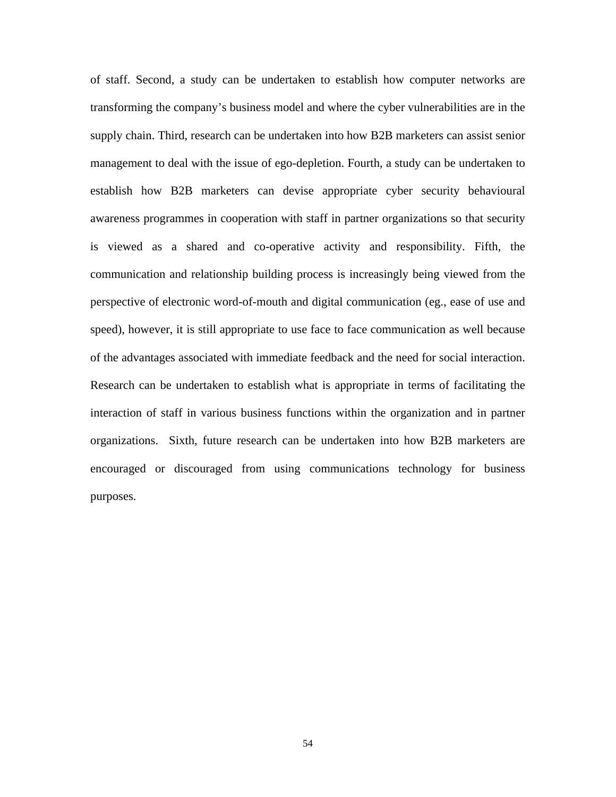of staff. Second, a study can be undertaken to establish how computer networks are transforming the company's business model and where the cyber vulnerabilities are in the supply chain. Third, research can be undertaken into how B2B marketers can assist senior management to deal with the issue of ego-depletion. Fourth, a study can be undertaken to establish how B2B marketers can devise appropriate cyber security behavioural awareness programmes in cooperation with staff in partner organizations so that security is viewed as a shared and co-operative activity and responsibility. Fifth, the communication and relationship building process is increasingly being viewed from the perspective of electronic word-of-mouth and digital communication (eg., ease of use and speed), however, it is still appropriate to use face to face communication as well because of the advantages associated with immediate feedback and the need for social interaction. Research can be undertaken to establish what is appropriate in terms of facilitating the interaction of staff in various business functions within the organization and in partner organizations. Sixth, future research can be undertaken into how B2B marketers are encouraged or discouraged from using communications technology for business purposes.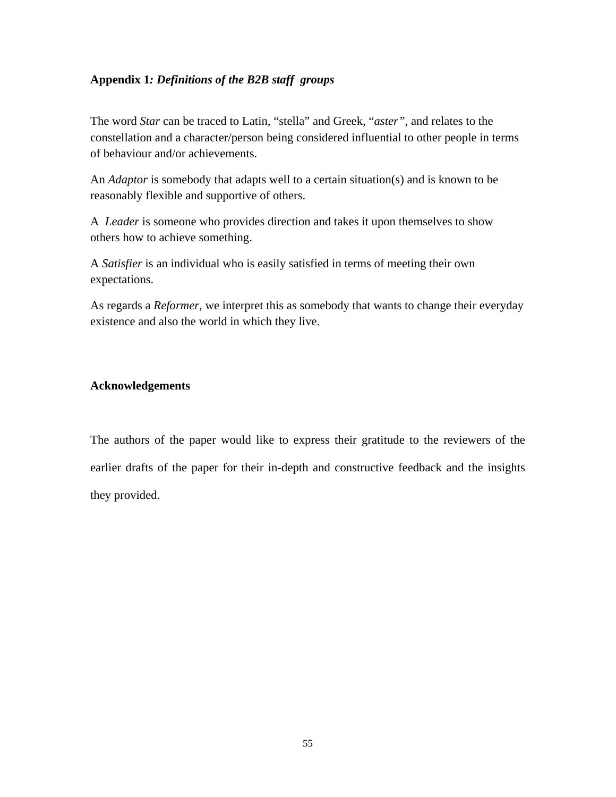## **Appendix 1***: Definitions of the B2B staff groups*

The word *Star* can be traced to Latin, "stella" and Greek, "*aster",* and relates to the constellation and a character/person being considered influential to other people in terms of behaviour and/or achievements.

An *Adaptor* is somebody that adapts well to a certain situation(s) and is known to be reasonably flexible and supportive of others.

A *Leader* is someone who provides direction and takes it upon themselves to show others how to achieve something.

A *Satisfier* is an individual who is easily satisfied in terms of meeting their own expectations.

As regards a *Reformer*, we interpret this as somebody that wants to change their everyday existence and also the world in which they live.

## **Acknowledgements**

The authors of the paper would like to express their gratitude to the reviewers of the earlier drafts of the paper for their in-depth and constructive feedback and the insights they provided.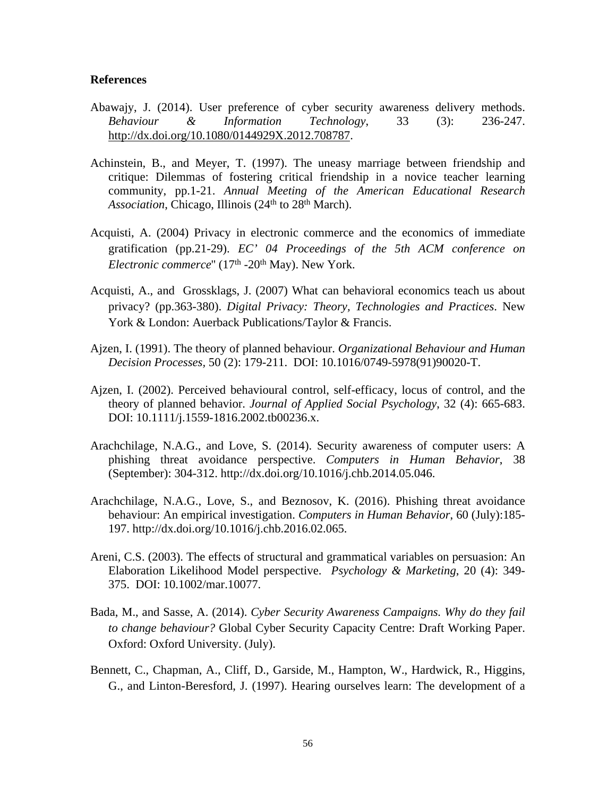#### **References**

- Abawajy, J. (2014). User preference of cyber security awareness delivery methods. *Behaviour & Information Technology*, 33 (3): 236-247. <http://dx.doi.org/10.1080/0144929X.2012.708787>.
- Achinstein, B., and Meyer, T. (1997). The uneasy marriage between friendship and critique: Dilemmas of fostering critical friendship in a novice teacher learning community, pp.1-21. *Annual Meeting of the American Educational Research Association*, Chicago, Illinois (24<sup>th</sup> to 28<sup>th</sup> March).
- Acquisti, A. (2004) Privacy in electronic commerce and the economics of immediate gratification (pp.21-29). *EC' 04 Proceedings of the 5th ACM conference on Electronic commerce*" (17<sup>th</sup> -20<sup>th</sup> May). New York.
- Acquisti, A., and Grossklags, J. (2007) What can behavioral economics teach us about privacy? (pp.363-380). *Digital Privacy: Theory, Technologies and Practices*. New York & London: Auerback Publications/Taylor & Francis.
- Ajzen, I. (1991). The theory of planned behaviour. *Organizational Behaviour and Human Decision Processes,* 50 (2): 179-211. DOI: 10.1016/0749-5978(91)90020-T.
- Ajzen, I. (2002). Perceived behavioural control, self-efficacy, locus of control, and the theory of planned behavior. *Journal of Applied Social Psychology*, 32 (4): 665-683. DOI: 10.1111/j.1559-1816.2002.tb00236.x.
- Arachchilage, N.A.G., and Love, S. (2014). Security awareness of computer users: A phishing threat avoidance perspective. *Computers in Human Behavior*, 38 (September): 304-312. http://dx.doi.org/10.1016/j.chb.2014.05.046.
- Arachchilage, N.A.G., Love, S., and Beznosov, K. (2016). Phishing threat avoidance behaviour: An empirical investigation. *Computers in Human Behavior*, 60 (July):185- 197. http://dx.doi.org/10.1016/j.chb.2016.02.065.
- Areni, C.S. (2003). The effects of structural and grammatical variables on persuasion: An Elaboration Likelihood Model perspective. *Psychology & Marketing*, 20 (4): 349- 375. DOI: 10.1002/mar.10077.
- Bada, M., and Sasse, A. (2014). *Cyber Security Awareness Campaigns. Why do they fail to change behaviour?* Global Cyber Security Capacity Centre: Draft Working Paper. Oxford: Oxford University. (July).
- Bennett, C., Chapman, A., Cliff, D., Garside, M., Hampton, W., Hardwick, R., Higgins, G., and Linton-Beresford, J. (1997). Hearing ourselves learn: The development of a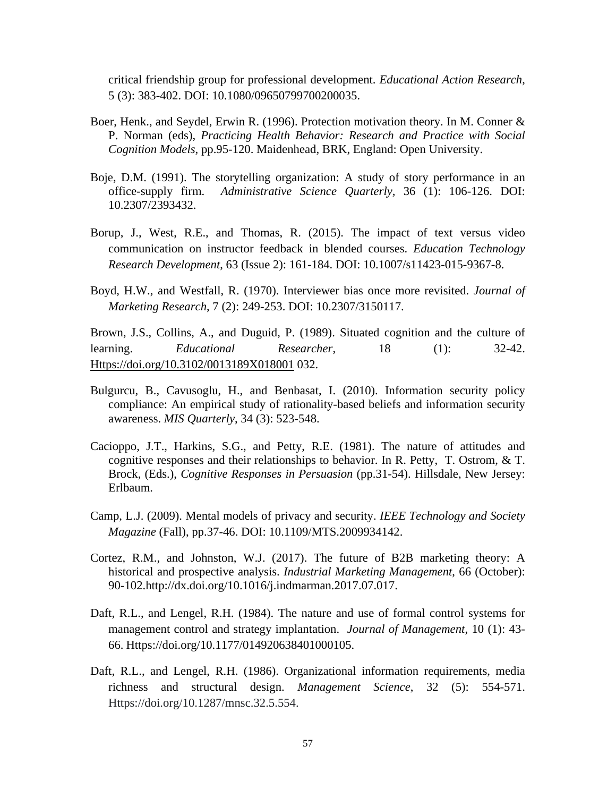critical friendship group for professional development. *Educational Action Research*, 5 (3): 383-402. DOI: 10.1080/09650799700200035.

- Boer, Henk., and Seydel, Erwin R. (1996). Protection motivation theory. In M. Conner & P. Norman (eds), *Practicing Health Behavior: Research and Practice with Social Cognition Models*, pp.95-120. Maidenhead, BRK, England: Open University.
- Boje, D.M. (1991). The storytelling organization: A study of story performance in an office-supply firm. *Administrative Science Quarterly,* 36 (1): 106-126. DOI: 10.2307/2393432.
- Borup, J., West, R.E., and Thomas, R. (2015). The impact of text versus video communication on instructor feedback in blended courses. *Education Technology Research Development*, 63 (Issue 2): 161-184. DOI: 10.1007/s11423-015-9367-8.
- Boyd, H.W., and Westfall, R. (1970). Interviewer bias once more revisited. *Journal of Marketing Research*, 7 (2): 249-253. DOI: 10.2307/3150117.

Brown, J.S., Collins, A., and Duguid, P. (1989). Situated cognition and the culture of learning. *Educational Researcher*, 18 (1): 32-42. <Https://doi.org/10.3102/0013189X018001>032.

- Bulgurcu, B., Cavusoglu, H., and Benbasat, I. (2010). Information security policy compliance: An empirical study of rationality-based beliefs and information security awareness. *MIS Quarterly*, 34 (3): 523-548.
- Cacioppo, J.T., Harkins, S.G., and Petty, R.E. (1981). The nature of attitudes and cognitive responses and their relationships to behavior. In R. Petty, T. Ostrom, & T. Brock, (Eds.), *Cognitive Responses in Persuasion* (pp.31-54). Hillsdale, New Jersey: Erlbaum.
- Camp, L.J. (2009). Mental models of privacy and security. *IEEE Technology and Society Magazine* (Fall), pp.37-46. DOI: 10.1109/MTS.2009934142.
- Cortez, R.M., and Johnston, W.J. (2017). The future of B2B marketing theory: A historical and prospective analysis. *Industrial Marketing Management*, 66 (October): 90-102.http://dx.doi.org/10.1016/j.indmarman.2017.07.017.
- Daft, R.L., and Lengel, R.H. (1984). The nature and use of formal control systems for management control and strategy implantation. *Journal of Management*, 10 (1): 43- 66. Https://doi.org/10.1177/014920638401000105.
- Daft, R.L., and Lengel, R.H. (1986). Organizational information requirements, media richness and structural design. *Management Science*, 32 (5): 554-571. Https://doi.org/10.1287/mnsc.32.5.554.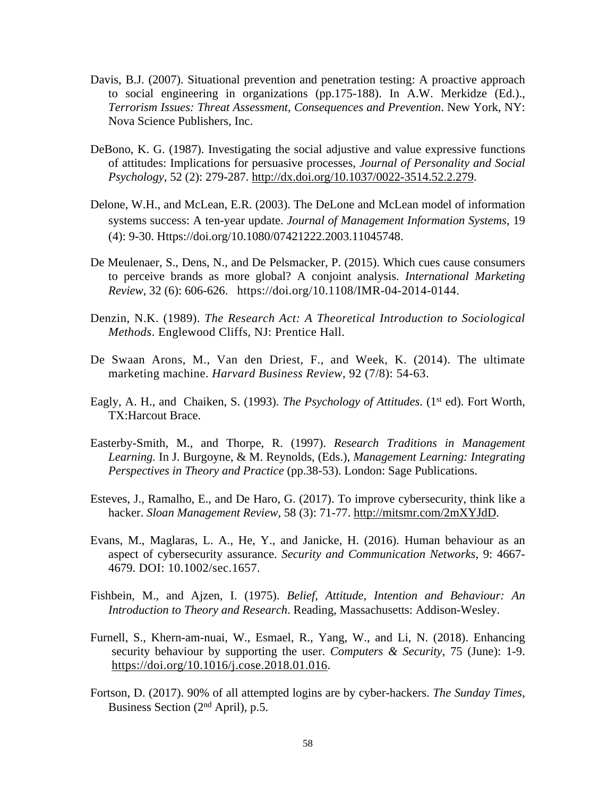- Davis, B.J. (2007). Situational prevention and penetration testing: A proactive approach to social engineering in organizations (pp.175-188). In A.W. Merkidze (Ed.)., *Terrorism Issues: Threat Assessment, Consequences and Prevention*. New York, NY: Nova Science Publishers, Inc.
- DeBono, K. G. (1987). Investigating the social adjustive and value expressive functions of attitudes: Implications for persuasive processes, *Journal of Personality and Social Psychology*, 52 (2): 279-287. <http://dx.doi.org/10.1037/0022-3514.52.2.279>.
- Delone, W.H., and McLean, E.R. (2003). The DeLone and McLean model of information systems success: A ten-year update. *Journal of Management Information Systems*, 19 (4): 9-30. Https://doi.org/10.1080/07421222.2003.11045748.
- De Meulenaer, S., Dens, N., and De Pelsmacker, P. (2015). Which cues cause consumers to perceive brands as more global? A conjoint analysis. *International Marketing Review*, 32 (6): 606-626. [https://doi.org/10.1108/IMR-04-2014-0144.](https://doi.org/10.1108/IMR-04-2014-0144)
- Denzin, N.K. (1989). *The Research Act: A Theoretical Introduction to Sociological Methods*. Englewood Cliffs, NJ: Prentice Hall.
- De Swaan Arons, M., Van den Driest, F., and Week, K. (2014). The ultimate marketing machine. *Harvard Business Review*, 92 (7/8): 54-63.
- Eagly, A. H., and Chaiken, S. (1993). *The Psychology of Attitudes*. (1<sup>st</sup> ed). Fort Worth, TX:Harcout Brace.
- Easterby-Smith, M., and Thorpe, R. (1997). *Research Traditions in Management Learning.* In J. Burgoyne, & M. Reynolds, (Eds.), *Management Learning: Integrating Perspectives in Theory and Practice* (pp.38-53). London: Sage Publications.
- Esteves, J., Ramalho, E., and De Haro, G. (2017). To improve cybersecurity, think like a hacker. *Sloan Management Review*, 58 (3): 71-77. <http://mitsmr.com/2mXYJdD>.
- Evans, M., Maglaras, L. A., He, Y., and Janicke, H. (2016). Human behaviour as an aspect of cybersecurity assurance. *Security and Communication Networks*, 9: 4667- 4679. DOI: 10.1002/sec.1657.
- Fishbein, M., and Ajzen, I. (1975). *Belief, Attitude, Intention and Behaviour: An Introduction to Theory and Research*. Reading, Massachusetts: Addison-Wesley.
- Furnell, S., Khern-am-nuai, W., Esmael, R., Yang, W., and Li, N. (2018). Enhancing security behaviour by supporting the user. *Computers & Security*, 75 (June): 1-9. [https://doi.org/10.1016/j.cose.2018.01.016.](https://doi.org/10.1016/j.cose.2018.01.016)
- Fortson, D. (2017). 90% of all attempted logins are by cyber-hackers. *The Sunday Times*, Business Section (2nd April), p.5.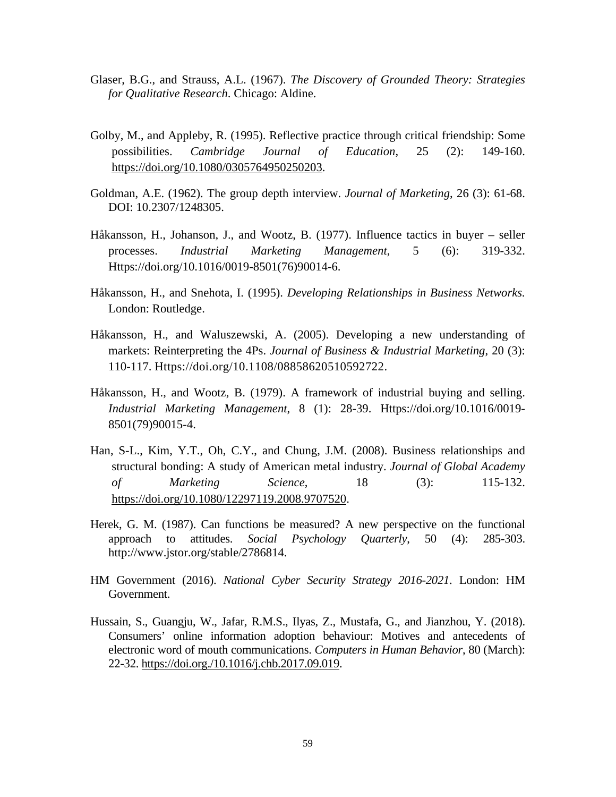- Glaser, B.G., and Strauss, A.L. (1967). *The Discovery of Grounded Theory: Strategies for Qualitative Research*. Chicago: Aldine.
- Golby, M., and Appleby, R. (1995). Reflective practice through critical friendship: Some possibilities. *Cambridge Journal of Education*, 25 (2): 149-160. <https://doi.org/10.1080/0305764950250203>.
- Goldman, A.E. (1962). The group depth interview. *Journal of Marketing*, 26 (3): 61-68. DOI: 10.2307/1248305.
- Håkansson, H., Johanson, J., and Wootz, B. (1977). Influence tactics in buyer seller processes. *Industrial Marketing Management*, 5 (6): 319-332. Https://doi.org/10.1016/0019-8501(76)90014-6.
- Håkansson, H., and Snehota, I. (1995). *Developing Relationships in Business Networks.* London: Routledge.
- Håkansson, H., and Waluszewski, A. (2005). Developing a new understanding of markets: Reinterpreting the 4Ps. *Journal of Business & Industrial Marketing*, 20 (3): 110-117. Https://doi.org/10.1108/08858620510592722.
- Håkansson, H., and Wootz, B. (1979). A framework of industrial buying and selling. *Industrial Marketing Management*, 8 (1): 28-39. Https://doi.org/10.1016/0019- 8501(79)90015-4.
- Han, S-L., Kim, Y.T., Oh, C.Y., and Chung, J.M. (2008). Business relationships and structural bonding: A study of American metal industry. *Journal of Global Academy of Marketing Science*, 18 (3): 115-132. <https://doi.org/10.1080/12297119.2008.9707520>.
- Herek, G. M. (1987). Can functions be measured? A new perspective on the functional approach to attitudes. *Social Psychology Quarterly*, 50 (4): 285-303. http://www.jstor.org/stable/2786814.
- HM Government (2016). *National Cyber Security Strategy 2016-2021*. London: HM Government.
- Hussain, S., Guangju, W., Jafar, R.M.S., Ilyas, Z., Mustafa, G., and Jianzhou, Y. (2018). Consumers' online information adoption behaviour: Motives and antecedents of electronic word of mouth communications. *Computers in Human Behavior*, 80 (March): 22-32. <https://doi.org./10.1016/j.chb.2017.09.019>.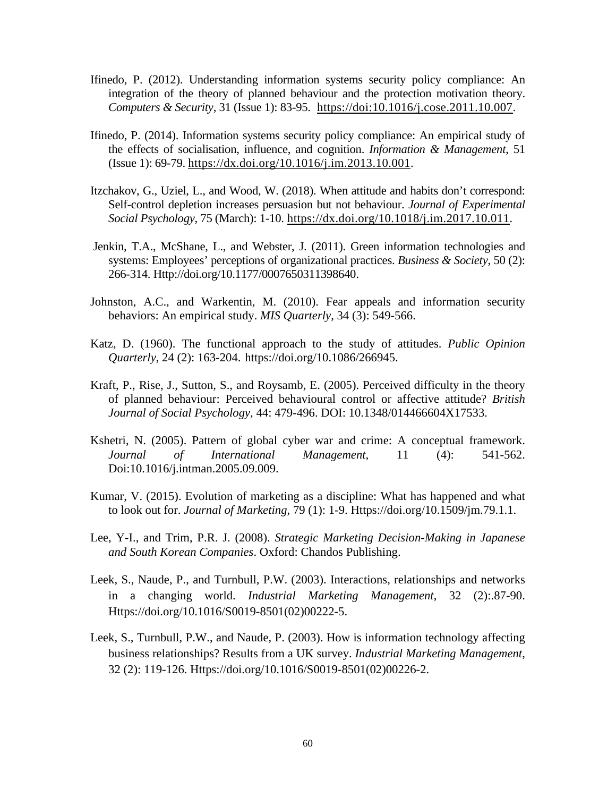- Ifinedo, P. (2012). Understanding information systems security policy compliance: An integration of the theory of planned behaviour and the protection motivation theory. *Computers & Security*, 31 (Issue 1): 83-95. [https://doi:10.1016/j.cose.2011.10.007.](https://doi:10.1016/j.cose.2011.10.007)
- Ifinedo, P. (2014). Information systems security policy compliance: An empirical study of the effects of socialisation, influence, and cognition. *Information & Management*, 51 (Issue 1): 69-79.<https://dx.doi.org/10.1016/j.im.2013.10.001>.
- Itzchakov, G., Uziel, L., and Wood, W. (2018). When attitude and habits don't correspond: Self-control depletion increases persuasion but not behaviour. *Journal of Experimental Social Psychology*, 75 (March): 1-10. [https://dx.doi.org/10.1018/j.im.2017.10.011.](https://dx.doi.org/10.1018/j.im.2017.10.011)
- Jenkin, T.A., McShane, L., and Webster, J. (2011). Green information technologies and systems: Employees' perceptions of organizational practices. *Business & Society*, 50 (2): 266-314. Http://doi.org/10.1177/0007650311398640.
- Johnston, A.C., and Warkentin, M. (2010). Fear appeals and information security behaviors: An empirical study. *MIS Quarterly*, 34 (3): 549-566.
- Katz, D. (1960). The functional approach to the study of attitudes. *Public Opinion Quarterly*, 24 (2): 163-204. [https://doi.org/10.1086/266945.](https://doi.org/10.1086/266945)
- Kraft, P., Rise, J., Sutton, S., and Roysamb, E. (2005). Perceived difficulty in the theory of planned behaviour: Perceived behavioural control or affective attitude? *British Journal of Social Psychology*, 44: 479-496. DOI: 10.1348/014466604X17533.
- Kshetri, N. (2005). Pattern of global cyber war and crime: A conceptual framework. *Journal of International Management*, 11 (4): 541-562. Doi:10.1016/j.intman.2005.09.009.
- Kumar, V. (2015). Evolution of marketing as a discipline: What has happened and what to look out for. *Journal of Marketing*, 79 (1): 1-9. Https://doi.org/10.1509/jm.79.1.1.
- Lee, Y-I., and Trim, P.R. J. (2008). *Strategic Marketing Decision-Making in Japanese and South Korean Companies*. Oxford: Chandos Publishing.
- Leek, S., Naude, P., and Turnbull, P.W. (2003). Interactions, relationships and networks in a changing world. *Industrial Marketing Management*, 32 (2):.87-90. Https://doi.org/10.1016/S0019-8501(02)00222-5.
- Leek, S., Turnbull, P.W., and Naude, P. (2003). How is information technology affecting business relationships? Results from a UK survey. *Industrial Marketing Management*, 32 (2): 119-126. Https://doi.org/10.1016/S0019-8501(02)00226-2.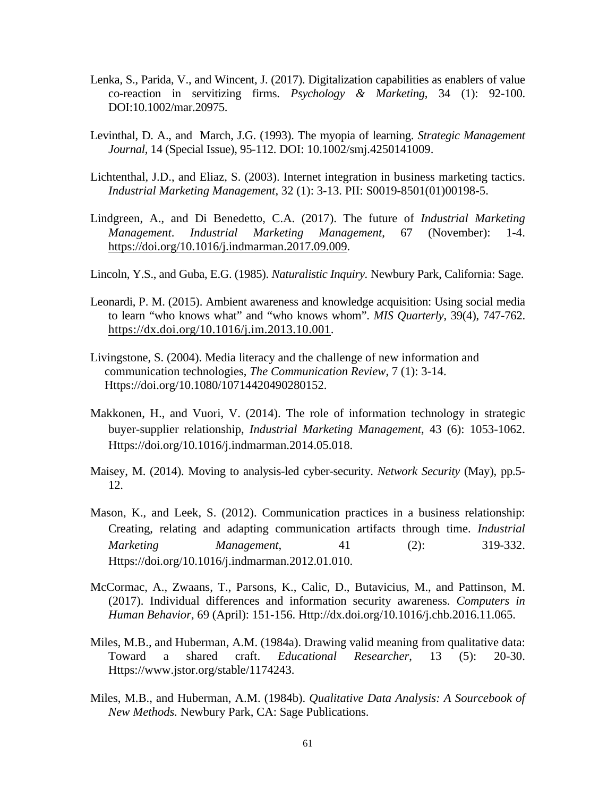- Lenka, S., Parida, V., and Wincent, J. (2017). Digitalization capabilities as enablers of value co-reaction in servitizing firms. *Psychology & Marketing*, 34 (1): 92-100. DOI:10.1002/mar.20975.
- Levinthal, D. A., and March, J.G. (1993). The myopia of learning. *Strategic Management Journal,* 14 (Special Issue), 95-112. DOI: 10.1002/smj.4250141009.
- Lichtenthal, J.D., and Eliaz, S. (2003). Internet integration in business marketing tactics. *Industrial Marketing Management*, 32 (1): 3-13. PII: S0019-8501(01)00198-5.
- Lindgreen, A., and Di Benedetto, C.A. (2017). The future of *Industrial Marketing Management*. *Industrial Marketing Management*, 67 (November): 1-4. <https://doi.org/10.1016/j.indmarman.2017.09.009>.
- Lincoln, Y.S., and Guba, E.G. (1985). *Naturalistic Inquiry.* Newbury Park, California: Sage.
- Leonardi, P. M. (2015). Ambient awareness and knowledge acquisition: Using social media to learn "who knows what" and "who knows whom". *MIS Quarterly*, 39(4), 747-762. [https://dx.doi.org/10.1016/j.im.2013.10.001.](https://dx.doi.org/10.1016/j.im.2013.10.001)
- Livingstone, S. (2004). Media literacy and the challenge of new information and communication technologies, *The Communication Review*, 7 (1): 3-14. Https://doi.org/10.1080/10714420490280152.
- Makkonen, H., and Vuori, V. (2014). The role of information technology in strategic buyer-supplier relationship, *Industrial Marketing Management*, 43 (6): 1053-1062. Https://doi.org/10.1016/j.indmarman.2014.05.018.
- Maisey, M. (2014). Moving to analysis-led cyber-security. *Network Security* (May), pp.5- 12.
- Mason, K., and Leek, S. (2012). Communication practices in a business relationship: Creating, relating and adapting communication artifacts through time. *Industrial Marketing Management*, 41 (2): 319-332. Https://doi.org/10.1016/j.indmarman.2012.01.010.
- McCormac, A., Zwaans, T., Parsons, K., Calic, D., Butavicius, M., and Pattinson, M. (2017). Individual differences and information security awareness. *Computers in Human Behavior*, 69 (April): 151-156. Http://dx.doi.org/10.1016/j.chb.2016.11.065.
- Miles, M.B., and Huberman, A.M. (1984a). Drawing valid meaning from qualitative data: Toward a shared craft. *Educational Researcher*, 13 (5): 20-30. Https://www.jstor.org/stable/1174243.
- Miles, M.B., and Huberman, A.M. (1984b). *Qualitative Data Analysis: A Sourcebook of New Methods.* Newbury Park, CA: Sage Publications.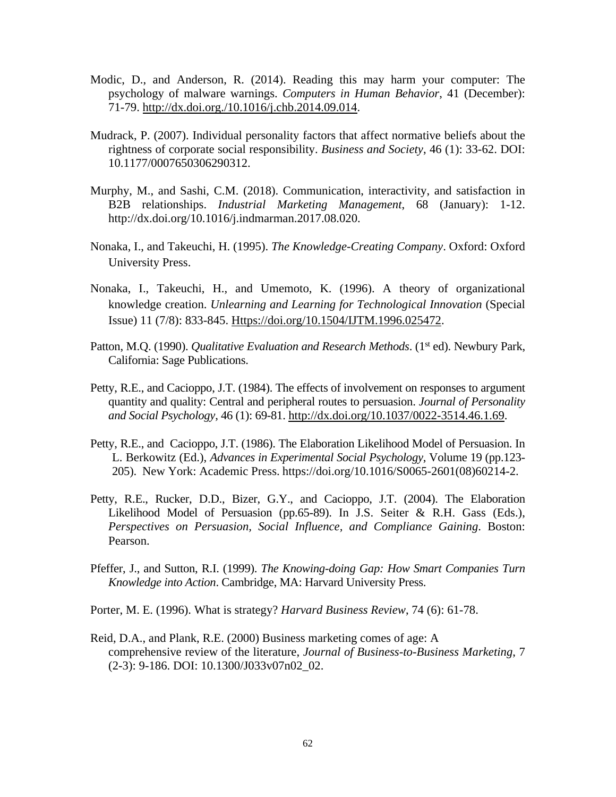- Modic, D., and Anderson, R. (2014). Reading this may harm your computer: The psychology of malware warnings. *Computers in Human Behavior*, 41 (December): 71-79. <http://dx.doi.org./10.1016/j.chb.2014.09.014>.
- Mudrack, P. (2007). Individual personality factors that affect normative beliefs about the rightness of corporate social responsibility. *Business and Society*, 46 (1): 33-62. DOI: 10.1177/0007650306290312.
- Murphy, M., and Sashi, C.M. (2018). Communication, interactivity, and satisfaction in B2B relationships. *Industrial Marketing Management*, 68 (January): 1-12. http://dx.doi.org/10.1016/j.indmarman.2017.08.020.
- Nonaka, I., and Takeuchi, H. (1995). *The Knowledge-Creating Company*. Oxford: Oxford University Press.
- Nonaka, I., Takeuchi, H., and Umemoto, K. (1996). A theory of organizational knowledge creation. *Unlearning and Learning for Technological Innovation* (Special Issue) 11 (7/8): 833-845. [Https://doi.org/10.1504/IJTM.1996.025472.](Https://doi.org/10.1504/IJTM.1996.025472)
- Patton, M.Q. (1990). *Qualitative Evaluation and Research Methods*. (1<sup>st</sup> ed). Newbury Park, California: Sage Publications.
- Petty, R.E., and Cacioppo, J.T. (1984). The effects of involvement on responses to argument quantity and quality: Central and peripheral routes to persuasion. *Journal of Personality and Social Psychology*, 46 (1): 69-81. [http://dx.doi.org/10.1037/0022-3514.46.1.69.](http://dx.doi.org/10.1037/0022-3514.46.1.69)
- Petty, R.E., and Cacioppo, J.T. (1986). The Elaboration Likelihood Model of Persuasion. In L. Berkowitz (Ed.), *Advances in Experimental Social Psychology*, Volume 19 (pp.123- 205). New York: Academic Press. [https://doi.org/10.1016/S0065-2601\(08\)60214-2.](https://doi.org/10.1016/S0065-2601(08)60214-2)
- Petty, R.E., Rucker, D.D., Bizer, G.Y., and Cacioppo, J.T. (2004). The Elaboration Likelihood Model of Persuasion (pp.65-89). In J.S. Seiter & R.H. Gass (Eds.), *Perspectives on Persuasion, Social Influence, and Compliance Gaining*. Boston: Pearson.
- Pfeffer, J., and Sutton, R.I. (1999). *The Knowing-doing Gap: How Smart Companies Turn Knowledge into Action*. Cambridge, MA: Harvard University Press.
- Porter, M. E. (1996). What is strategy? *Harvard Business Review*, 74 (6): 61-78.
- Reid, D.A., and Plank, R.E. (2000) Business marketing comes of age: A comprehensive review of the literature, *Journal of Business-to-Business Marketing*, 7 (2-3): 9-186. DOI: 10.1300/J033v07n02\_02.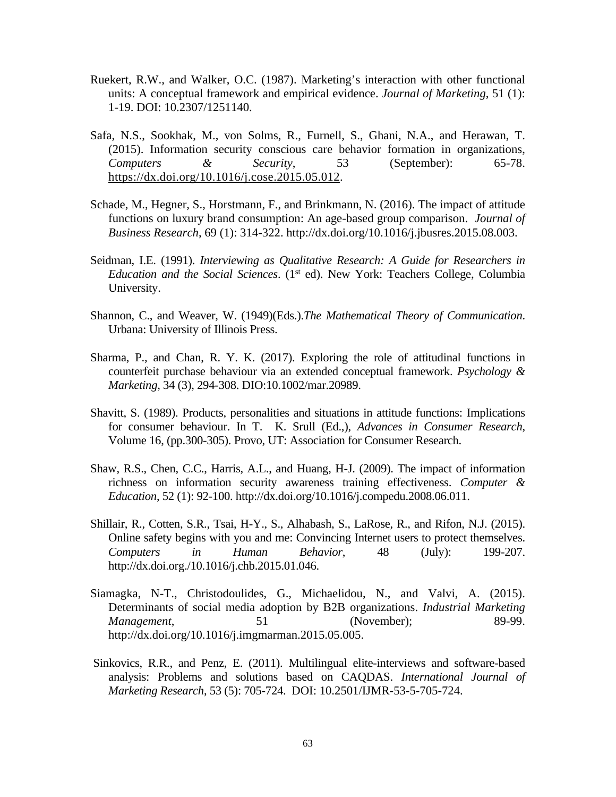- Ruekert, R.W., and Walker, O.C. (1987). Marketing's interaction with other functional units: A conceptual framework and empirical evidence. *Journal of Marketing*, 51 (1): 1-19. DOI: 10.2307/1251140.
- Safa, N.S., Sookhak, M., von Solms, R., Furnell, S., Ghani, N.A., and Herawan, T. (2015). Information security conscious care behavior formation in organizations, *Computers & Security*, 53 (September): 65-78. <https://dx.doi.org/10.1016/j.cose.2015.05.012>.
- Schade, M., Hegner, S., Horstmann, F., and Brinkmann, N. (2016). The impact of attitude functions on luxury brand consumption: An age-based group comparison. *Journal of Business Research*, 69 (1): 314-322. http://dx.doi.org/10.1016/j.jbusres.2015.08.003.
- Seidman, I.E. (1991). *Interviewing as Qualitative Research: A Guide for Researchers in Education and the Social Sciences*. (1st ed). New York: Teachers College, Columbia University.
- Shannon, C., and Weaver, W. (1949)(Eds.).*The Mathematical Theory of Communication*. Urbana: University of Illinois Press.
- Sharma, P., and Chan, R. Y. K. (2017). Exploring the role of attitudinal functions in counterfeit purchase behaviour via an extended conceptual framework. *Psychology & Marketing*, 34 (3), 294-308. DIO:10.1002/mar.20989.
- Shavitt, S. (1989). Products, personalities and situations in attitude functions: Implications for consumer behaviour. In T. K. Srull (Ed.,), *Advances in Consumer Research*, Volume 16, (pp.300-305). Provo, UT: Association for Consumer Research.
- Shaw, R.S., Chen, C.C., Harris, A.L., and Huang, H-J. (2009). The impact of information richness on information security awareness training effectiveness. *Computer & Education*, 52 (1): 92-100. http://dx.doi.org/10.1016/j.compedu.2008.06.011.
- Shillair, R., Cotten, S.R., Tsai, H-Y., S., Alhabash, S., LaRose, R., and Rifon, N.J. (2015). Online safety begins with you and me: Convincing Internet users to protect themselves. *Computers in Human Behavior*, 48 (July): 199-207. [http://dx.doi.org./10.1016/j.chb.2015.01.046.](http://dx.doi.org./10.1016/j.chb.2015.01.046)
- Siamagka, N-T., Christodoulides, G., Michaelidou, N., and Valvi, A. (2015). Determinants of social media adoption by B2B organizations. *Industrial Marketing Management*, 51 (November); 89-99. http://dx.doi.org/10.1016/j.imgmarman.2015.05.005.
- Sinkovics, R.R., and Penz, E. (2011). Multilingual elite-interviews and software-based analysis: Problems and solutions based on CAQDAS. *International Journal of Marketing Research*, 53 (5): 705-724. DOI: 10.2501/IJMR-53-5-705-724.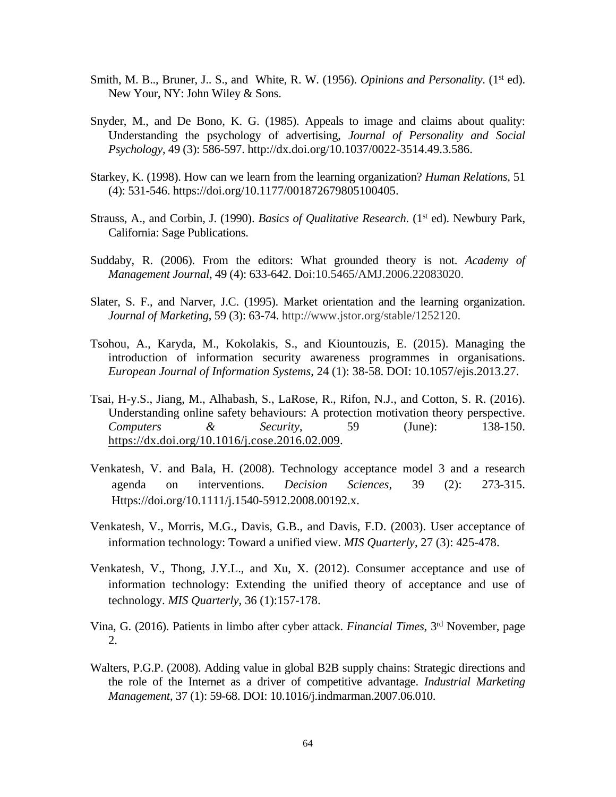- Smith, M. B.., Bruner, J., S., and White, R. W. (1956). *Opinions and Personality*. (1<sup>st</sup> ed). New Your, NY: John Wiley & Sons.
- Snyder, M., and De Bono, K. G. (1985). Appeals to image and claims about quality: Understanding the psychology of advertising, *Journal of Personality and Social Psychology*, 49 (3): 586-597. [http://dx.doi.org/10.1037/0022-3514.49.3.586.](http://psycnet.apa.org/doi/10.1037/0022-3514.49.3.586)
- Starkey, K. (1998). How can we learn from the learning organization? *Human Relations*, 51 (4): 531-546.<https://doi.org/10.1177/001872679805100405>.
- Strauss, A., and Corbin, J. (1990). *Basics of Qualitative Research*. (1<sup>st</sup> ed). Newbury Park, California: Sage Publications.
- Suddaby, R. (2006). From the editors: What grounded theory is not. *Academy of Management Journal*, 49 (4): 633-642. Doi:10.5465/AMJ.2006.22083020.
- Slater, S. F., and Narver, J.C. (1995). Market orientation and the learning organization. *Journal of Marketing*, 59 (3): 63-74. http://www.jstor.org/stable/1252120.
- Tsohou, A., Karyda, M., Kokolakis, S., and Kiountouzis, E. (2015). Managing the introduction of information security awareness programmes in organisations. *European Journal of Information Systems*, 24 (1): 38-58. DOI: 10.1057/ejis.2013.27.
- Tsai, H-y.S., Jiang, M., Alhabash, S., LaRose, R., Rifon, N.J., and Cotton, S. R. (2016). Understanding online safety behaviours: A protection motivation theory perspective. *Computers & Security*, 59 (June): 138-150. <https://dx.doi.org/10.1016/j.cose.2016.02.009>.
- Venkatesh, V. and Bala, H. (2008). Technology acceptance model 3 and a research agenda on interventions. *Decision Sciences*, 39 (2): 273-315. Https://doi.org/10.1111/j.1540-5912.2008.00192.x.
- Venkatesh, V., Morris, M.G., Davis, G.B., and Davis, F.D. (2003). User acceptance of information technology: Toward a unified view. *MIS Quarterly*, 27 (3): 425-478.
- Venkatesh, V., Thong, J.Y.L., and Xu, X. (2012). Consumer acceptance and use of information technology: Extending the unified theory of acceptance and use of technology. *MIS Quarterly*, 36 (1):157-178.
- Vina, G. (2016). Patients in limbo after cyber attack. *Financial Times*, 3rd November, page 2.
- Walters, P.G.P. (2008). Adding value in global B2B supply chains: Strategic directions and the role of the Internet as a driver of competitive advantage. *Industrial Marketing Management*, 37 (1): 59-68. DOI: 10.1016/j.indmarman.2007.06.010.